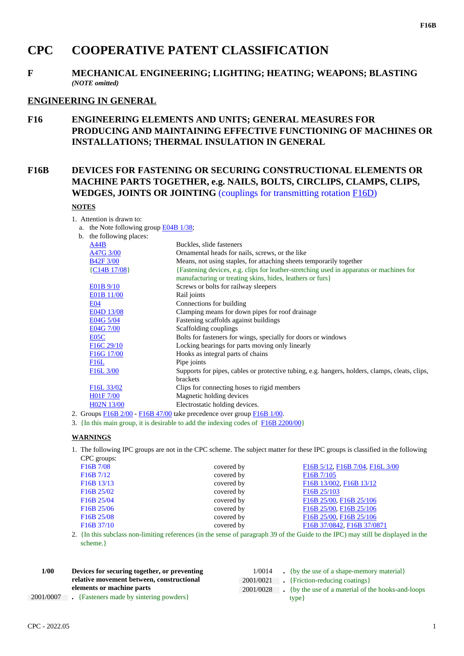# **CPC COOPERATIVE PATENT CLASSIFICATION**

# **F MECHANICAL ENGINEERING; LIGHTING; HEATING; WEAPONS; BLASTING** *(NOTE omitted)*

# **ENGINEERING IN GENERAL**

**F16 ENGINEERING ELEMENTS AND UNITS; GENERAL MEASURES FOR PRODUCING AND MAINTAINING EFFECTIVE FUNCTIONING OF MACHINES OR INSTALLATIONS; THERMAL INSULATION IN GENERAL**

# **F16B DEVICES FOR FASTENING OR SECURING CONSTRUCTIONAL ELEMENTS OR MACHINE PARTS TOGETHER, e.g. NAILS, BOLTS, CIRCLIPS, CLAMPS, CLIPS, WEDGES, JOINTS OR JOINTING** (couplings for transmitting rotation F16D)

# **NOTES**

1. Attention is drawn to:

a. the Note following group E04B 1/38;

| b. the following places:                        |                                                                                                                                                     |
|-------------------------------------------------|-----------------------------------------------------------------------------------------------------------------------------------------------------|
| A44B                                            | Buckles, slide fasteners                                                                                                                            |
| A47G 3/00                                       | Ornamental heads for nails, screws, or the like                                                                                                     |
| <b>B42F 3/00</b>                                | Means, not using staples, for attaching sheets temporarily together                                                                                 |
| ${C14B17/08}$                                   | {Fastening devices, e.g. clips for leather-stretching used in apparatus or machines for<br>manufacturing or treating skins, hides, leathers or furs |
| E01B 9/10                                       | Screws or bolts for railway sleepers                                                                                                                |
| E01B 11/00                                      | Rail joints                                                                                                                                         |
| <b>E04</b>                                      | Connections for building                                                                                                                            |
| E04D 13/08                                      | Clamping means for down pipes for roof drainage                                                                                                     |
| E04G 5/04                                       | Fastening scaffolds against buildings                                                                                                               |
| E04G 7/00                                       | Scaffolding couplings                                                                                                                               |
| E <sub>05</sub> C                               | Bolts for fasteners for wings, specially for doors or windows                                                                                       |
| F <sub>16</sub> C <sub>29</sub> / <sub>10</sub> | Locking bearings for parts moving only linearly                                                                                                     |
| F <sub>16</sub> G <sub>17</sub> /00             | Hooks as integral parts of chains                                                                                                                   |
| F16L                                            | Pipe joints                                                                                                                                         |
| F <sub>16</sub> L <sub>3</sub> /00              | Supports for pipes, cables or protective tubing, e.g. hangers, holders, clamps, cleats, clips,                                                      |
|                                                 | brackets                                                                                                                                            |
| F <sub>16</sub> L <sub>33</sub> /02             | Clips for connecting hoses to rigid members                                                                                                         |
| H01F 7/00                                       | Magnetic holding devices                                                                                                                            |
| H02N 13/00                                      | Electrostatic holding devices.                                                                                                                      |
|                                                 | 2. Groups $F16B2/00 - F16B47/00$ take precedence over group $F16B1/00$ .                                                                            |

3. {In this main group, it is desirable to add the indexing codes of F16B 2200/00}

#### **WARNINGS**

1. The following IPC groups are not in the CPC scheme. The subject matter for these IPC groups is classified in the following CPC groups:

| F <sub>16</sub> B 7/08              | covered by | F16B 5/12, F16B 7/04, F16L 3/00      |
|-------------------------------------|------------|--------------------------------------|
| F16B7/12                            | covered by | F <sub>16</sub> B 7/105              |
| F <sub>16</sub> B <sub>13</sub> /13 | covered by | F16B 13/002, F16B 13/12              |
| F <sub>16</sub> B <sub>25</sub> /02 | covered by | F <sub>16</sub> B <sub>25</sub> /103 |
| F16B 25/04                          | covered by | F16B 25/00, F16B 25/106              |
| F <sub>16</sub> B <sub>25</sub> /06 | covered by | F16B 25/00, F16B 25/106              |
| F <sub>16</sub> B <sub>25</sub> /08 | covered by | F16B 25/00, F16B 25/106              |
| F <sub>16</sub> B 37/10             | covered by | F16B 37/0842, F16B 37/0871           |
|                                     |            |                                      |

2. {In this subclass non-limiting references (in the sense of paragraph 39 of the Guide to the IPC) may still be displayed in the scheme.}

| 1/00      | Devices for securing together, or preventing | 1/0014    | $\bullet$ {by the use of a shape-memory material}  |
|-----------|----------------------------------------------|-----------|----------------------------------------------------|
|           | relative movement between, constructional    |           | 2001/0021 • {Friction-reducing coatings}           |
|           | elements or machine parts                    | 2001/0028 | . {by the use of a material of the hooks-and-loops |
| 2001/0007 | • {Fasteners made by sintering powders}      |           | type }                                             |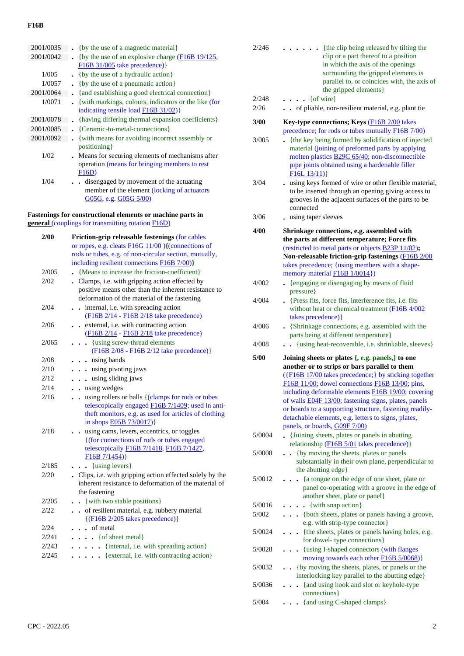# **F16B**

| 2001/0035 | {by the use of a magnetic material}                  |
|-----------|------------------------------------------------------|
| 2001/0042 | {by the use of an explosive charge $(F16B 19/125)$ , |
|           | $F16B$ 31/005 take precedence) }                     |
| 1/005     | {by the use of a hydraulic action}                   |
| 1/0057    | {by the use of a pneumatic action}                   |
| 2001/0064 | {and establishing a good electrical connection}      |
| 1/0071    | {with markings, colours, indicators or the like (for |
|           | indicating tensile load $F16B31/02)$                 |
| 2001/0078 | {having differing thermal expansion coefficients}    |
| 2001/0085 | {Ceramic-to-metal-connections}                       |
| 2001/0092 | {with means for avoiding incorrect assembly or       |
|           | positioning }                                        |
| 1/02      | . Means for securing elements of mechanisms after    |
|           | operation (means for bringing members to rest        |
|           | F16D)                                                |
| 1/04      | . disengaged by movement of the actuating            |
|           | member of the element (locking of actuators          |
|           | G05G, e.g. G05G 5/00)                                |

#### **Fastenings for constructional elements or machine parts in**

**general** (couplings for transmitting rotation F16D)

| 2/00  | Friction-grip releasable fastenings (for cables                                                              |
|-------|--------------------------------------------------------------------------------------------------------------|
|       | or ropes, e.g. cleats F16G 11/00 ){(connections of                                                           |
|       | rods or tubes, e.g. of non-circular section, mutually,<br>including resilient connections <b>F16B</b> 7/00)} |
| 2/005 | . {Means to increase the friction-coefficient}                                                               |
| 2/02  | . Clamps, i.e. with gripping action effected by                                                              |
|       | positive means other than the inherent resistance to                                                         |
|       | deformation of the material of the fastening                                                                 |
| 2/04  | . internal, i.e. with spreading action                                                                       |
|       | (F16B 2/14 - F16B 2/18 take precedence)                                                                      |
| 2/06  | . . external, i.e. with contracting action                                                                   |
|       | (F16B 2/14 - F16B 2/18 take precedence)                                                                      |
| 2/065 | {using screw-thread elements                                                                                 |
|       | (F16B 2/08 - F16B 2/12 take precedence)}                                                                     |
| 2/08  | . using bands                                                                                                |
| 2/10  | . . using pivoting jaws                                                                                      |
| 2/12  | . . using sliding jaws                                                                                       |
| 2/14  | . . using wedges                                                                                             |
| 2/16  | using rollers or balls {(clamps for rods or tubes<br>$\ddot{\phantom{0}}$                                    |
|       | telescopically engaged F16B 7/1409; used in anti-                                                            |
|       | theft monitors, e.g. as used for articles of clothing                                                        |
|       | in shops <b>E05B</b> 73/0017)}                                                                               |
| 2/18  | . using cams, levers, eccentrics, or toggles                                                                 |
|       | {(for connections of rods or tubes engaged)                                                                  |
|       | telescopically F16B 7/1418, F16B 7/1427,                                                                     |
| 2/185 | F16B 7/1454)                                                                                                 |
| 2/20  | $\bullet$ $\bullet$ {using levers}<br>. Clips, i.e. with gripping action effected solely by the              |
|       | inherent resistance to deformation of the material of                                                        |
|       | the fastening                                                                                                |
| 2/205 | {with two stable positions}<br>$\sim$                                                                        |
| 2/22  | of resilient material, e.g. rubbery material<br>$\ddot{\phantom{a}}$                                         |
|       | $\{(\text{F16B } 2/205 \text{ takes precedence})\}$                                                          |
| 2/24  | . . of metal                                                                                                 |
| 2/241 | $\ldots$ { of sheet metal}                                                                                   |
| 2/243 | . {internal, i.e. with spreading action}                                                                     |
| 2/245 | {external, i.e. with contracting action}                                                                     |
|       |                                                                                                              |
|       |                                                                                                              |

| 2/246           | {the clip being released by tilting the<br>$\ddot{\phantom{0}}$<br>clip or a part thereof to a position<br>in which the axis of the openings<br>surrounding the gripped elements is<br>parallel to, or coincides with, the axis of<br>the gripped elements}                                                                                                                      |
|-----------------|----------------------------------------------------------------------------------------------------------------------------------------------------------------------------------------------------------------------------------------------------------------------------------------------------------------------------------------------------------------------------------|
| 2/248<br>2/26   | {of wire}<br>$\cdots$<br>of pliable, non-resilient material, e.g. plant tie                                                                                                                                                                                                                                                                                                      |
| 3/00            | Key-type connections; Keys (F16B 2/00 takes<br>precedence; for rods or tubes mutually F16B 7/00)                                                                                                                                                                                                                                                                                 |
| 3/005           | {the key being formed by solidification of injected<br>material (joining of preformed parts by applying<br>molten plastics <b>B29C 65/40</b> ; non-disconnectible<br>pipe joints obtained using a hardenable filler<br>F16L13/11)                                                                                                                                                |
| 3/04            | . using keys formed of wire or other flexible material,<br>to be inserted through an opening giving access to<br>grooves in the adjacent surfaces of the parts to be<br>connected                                                                                                                                                                                                |
| 3/06            | using taper sleeves                                                                                                                                                                                                                                                                                                                                                              |
| 4/00            | Shrinkage connections, e.g. assembled with<br>the parts at different temperature; Force fits<br>(restricted to metal parts or objects <b>B23P 11/02</b> );<br>Non-releasable friction-grip fastenings (F16B 2/00<br>takes precedence; {using members with a shape-                                                                                                               |
|                 | memory material <b>F16B</b> 1/0014})                                                                                                                                                                                                                                                                                                                                             |
| 4/002           | {engaging or disengaging by means of fluid<br>pressure }                                                                                                                                                                                                                                                                                                                         |
| 4/004           | • {Press fits, force fits, interference fits, i.e. fits<br>without heat or chemical treatment (F16B 4/002<br>takes precedence) }                                                                                                                                                                                                                                                 |
| 4/006           | {Shrinkage connections, e.g. assembled with the<br>parts being at different temperature}                                                                                                                                                                                                                                                                                         |
| 4/008           | . . {using heat-recoverable, i.e. shrinkable, sleeves}                                                                                                                                                                                                                                                                                                                           |
| 5/00            | Joining sheets or plates $\{, e.g.$ panels, to one<br>another or to strips or bars parallel to them                                                                                                                                                                                                                                                                              |
|                 | ({F16B 17/00 takes precedence;} by sticking together<br>F16B 11/00; dowel connections F16B 13/00; pins,<br>including deformable elements F16B 19/00; covering<br>of walls <b>E04F 13/00</b> ; fastening signs, plates, panels<br>or boards to a supporting structure, fastening readily-<br>detachable elements, e.g. letters to signs, plates,<br>panels, or boards, G09F 7/00) |
| 5/0004          | {Joining sheets, plates or panels in abutting<br>relationship (F16B 5/01 takes precedence)}                                                                                                                                                                                                                                                                                      |
| 5/0008          | {by moving the sheets, plates or panels<br>substantially in their own plane, perpendicular to<br>the abutting edge}                                                                                                                                                                                                                                                              |
| 5/0012          | {a tongue on the edge of one sheet, plate or<br>panel co-operating with a groove in the edge of<br>another sheet, plate or panel}                                                                                                                                                                                                                                                |
| 5/0016          | {with snap action}                                                                                                                                                                                                                                                                                                                                                               |
| 5/002           | {both sheets, plates or panels having a groove,<br>e.g. with strip-type connector}                                                                                                                                                                                                                                                                                               |
| 5/0024          | {the sheets, plates or panels having holes, e.g.<br>for dowel- type connections}                                                                                                                                                                                                                                                                                                 |
| 5/0028          | {using I-shaped connectors (with flanges<br>moving towards each other F16B 5/0068)}                                                                                                                                                                                                                                                                                              |
| 5/0032          | {by moving the sheets, plates, or panels or the<br>interlocking key parallel to the abutting edge}                                                                                                                                                                                                                                                                               |
| 5/0036<br>5/004 | {and using hook and slot or keyhole-type<br>connections }<br>{and using C-shaped clamps}                                                                                                                                                                                                                                                                                         |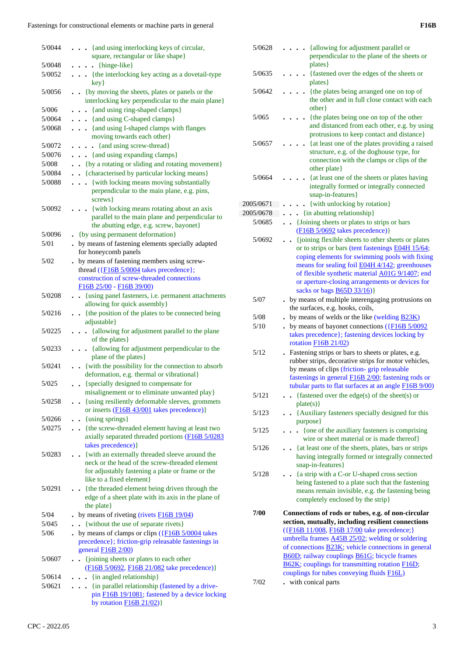| 5/0044           | . {and using interlocking keys of circular,                                                                                    |
|------------------|--------------------------------------------------------------------------------------------------------------------------------|
|                  | square, rectangular or like shape}                                                                                             |
| 5/0048<br>5/0052 | $\ldots$ {hinge-like}<br>{the interlocking key acting as a dovetail-type                                                       |
|                  | key}                                                                                                                           |
| 5/0056           | {by moving the sheets, plates or panels or the<br>interlocking key perpendicular to the main plane}                            |
| 5/006            | {and using ring-shaped clamps}<br>$\ddot{\phantom{0}}$                                                                         |
| 5/0064           | . {and using C-shaped clamps}                                                                                                  |
| 5/0068           | . {and using I-shaped clamps with flanges<br>moving towards each other}                                                        |
| 5/0072           | {and using screw-thread}<br>$\bullet$                                                                                          |
| 5/0076           | . {and using expanding clamps}                                                                                                 |
| 5/008            | • {by a rotating or sliding and rotating movement}                                                                             |
| 5/0084           | . {characterised by particular locking means}                                                                                  |
| 5/0088           | . { with locking means moving substantially                                                                                    |
|                  | perpendicular to the main plane, e.g. pins,<br>screws }                                                                        |
| 5/0092           | {with locking means rotating about an axis<br>$\ddot{\phantom{0}}$                                                             |
|                  | parallel to the main plane and perpendicular to                                                                                |
|                  | the abutting edge, e.g. screw, bayonet}                                                                                        |
| 5/0096           | • {by using permanent deformation}                                                                                             |
| 5/01             | . by means of fastening elements specially adapted                                                                             |
|                  | for honeycomb panels                                                                                                           |
| 5/02             | . by means of fastening members using screw-                                                                                   |
|                  | thread $(\overline{\text{F16B 5/0004}})$ takes precedence};                                                                    |
|                  | construction of screw-threaded connections                                                                                     |
| 5/0208           | F16B 25/00 - F16B 39/00)<br>. {using panel fasteners, i.e. permanent attachments                                               |
|                  | allowing for quick assembly}                                                                                                   |
| 5/0216           | {the position of the plates to be connected being                                                                              |
|                  | adjustable}                                                                                                                    |
| 5/0225           | . {allowing for adjustment parallel to the plane<br>of the plates }                                                            |
| 5/0233           | {allowing for adjustment perpendicular to the<br>$\ddotsc$<br>plane of the plates}                                             |
| 5/0241           | . { with the possibility for the connection to absorb<br>deformation, e.g. thermal or vibrational}                             |
| 5/025            | {specially designed to compensate for                                                                                          |
|                  | misalignement or to eliminate unwanted play}                                                                                   |
| 5/0258           | {using resiliently deformable sleeves, grommets<br>or inserts $(F16B 43/001$ takes precedence)                                 |
| 5/0266           | {using springs}<br>$\ddot{\phantom{a}}$                                                                                        |
| 5/0275           | . . {the screw-threaded element having at least two<br>axially separated threaded portions (F16B 5/0283<br>takes precedence) } |
| 5/0283           | • {with an externally threaded sleeve around the                                                                               |
|                  | neck or the head of the screw-threaded element                                                                                 |
|                  | for adjustably fastening a plate or frame or the                                                                               |
|                  | like to a fixed element}                                                                                                       |
| 5/0291           | {the threaded element being driven through the                                                                                 |
|                  | edge of a sheet plate with its axis in the plane of                                                                            |
|                  | the plate}                                                                                                                     |
| 5/04             | by means of riveting (rivets F16B 19/04)                                                                                       |
| 5/045            | {without the use of separate rivets}                                                                                           |
| 5/06             | by means of clamps or clips $(\overline{\text{F16B 5}/0004})$ takes<br>precedence}; friction-grip releasable fastenings in     |
| 5/0607           | general $F16B$ $2/00$ )<br>{joining sheets or plates to each other<br>$\ddot{\phantom{0}}$                                     |
|                  | (F16B 5/0692, F16B 21/082 take precedence)}                                                                                    |
| 5/0614           | {in angled relationship}<br>$\ddot{\phantom{0}}$                                                                               |
| 5/0621           | {in parallel relationship (fastened by a drive-<br>$\cdots$<br>pin F16B 19/1081; fastened by a device locking                  |
|                  | by rotation $F16B21/02)$                                                                                                       |

| 5/0628    | {allowing for adjustment parallel or<br>perpendicular to the plane of the sheets or                |
|-----------|----------------------------------------------------------------------------------------------------|
| 5/0635    | plates }<br>{fastened over the edges of the sheets or                                              |
|           | plates }                                                                                           |
| 5/0642    | {the plates being arranged one on top of<br>the other and in full close contact with each<br>other |
| 5/065     | {the plates being one on top of the other                                                          |
|           | and distanced from each other, e.g. by using                                                       |
| 5/0657    | protrusions to keep contact and distance}<br>{at least one of the plates providing a raised        |
|           | structure, e.g. of the doghouse type, for                                                          |
|           | connection with the clamps or clips of the                                                         |
|           | other plate}                                                                                       |
| 5/0664    | {at least one of the sheets or plates having<br>integrally formed or integrally connected          |
|           | snap-in-features}                                                                                  |
| 2005/0671 | {with unlocking by rotation}                                                                       |
| 2005/0678 | {in abutting relationship}<br>$\ddot{\phantom{a}}$                                                 |
| 5/0685    | {Joining sheets or plates to strips or bars<br>$\bullet$                                           |
|           | $(F16B 5/0692$ takes precedence)}<br>{joining flexible sheets to other sheets or plates            |
| 5/0692    | $\bullet$<br>or to strips or bars (tent fastenings E04H 15/64;                                     |
|           | coping elements for swimming pools with fixing                                                     |
|           | means for sealing foil <b>E04H 4/142</b> ; greenhouses                                             |
|           | of flexible synthetic material A01G 9/1407; end                                                    |
|           | or aperture-closing arrangements or devices for<br>sacks or bags <b>B65D 33/16</b> )}              |
| 5/07      | . by means of multiple interengaging protrusions on                                                |
|           | the surfaces, e.g. hooks, coils,                                                                   |
| 5/08      | by means of welds or the like (welding $\overline{B23K}$ )                                         |
| 5/10      | by means of bayonet connections $(\text{F16B} 5/0092)$                                             |
|           | takes precedence}; fastening devices locking by<br>rotation $F16B 21/02$                           |
| 5/12      | Fastening strips or bars to sheets or plates, e.g.                                                 |
|           | rubber strips, decorative strips for motor vehicles,                                               |
|           | by means of clips (friction-grip releasable<br>fastenings in general F16B 2/00; fastening rods or  |
|           | tubular parts to flat surfaces at an angle F16B 9/00)                                              |
| 5/121     | - {fastened over the edge(s) of the sheet(s) or                                                    |
|           | plate(s)                                                                                           |
| 5/123     | {Auxiliary fasteners specially designed for this<br>$\ddot{\phantom{0}}$<br>purpose}               |
| 5/125     | {one of the auxiliary fasteners is comprising                                                      |
|           | wire or sheet material or is made thereof}                                                         |
| 5/126     | {at least one of the sheets, plates, bars or strips                                                |
|           | having integrally formed or integrally connected<br>snap-in-features}                              |
| 5/128     | {a strip with a C-or U-shaped cross section                                                        |
|           | being fastened to a plate such that the fastening                                                  |
|           | means remain invisible, e.g. the fastening being                                                   |
|           | completely enclosed by the strip}                                                                  |
| 7/00      | Connections of rods or tubes, e.g. of non-circular                                                 |
|           | section, mutually, including resilient connections<br>({F16B 11/008, F16B 17/00 take precedence;}  |
|           | umbrella frames <b>A45B 25/02</b> ; welding or soldering                                           |
|           | of connections <b>B23K</b> ; vehicle connections in general                                        |
|           | B60D; railway couplings B61G; bicycle frames                                                       |
|           | B62K; couplings for transmitting rotation F16D;<br>couplings for tubes conveying fluids F16L)      |
| 7/02      | with conical parts                                                                                 |
|           |                                                                                                    |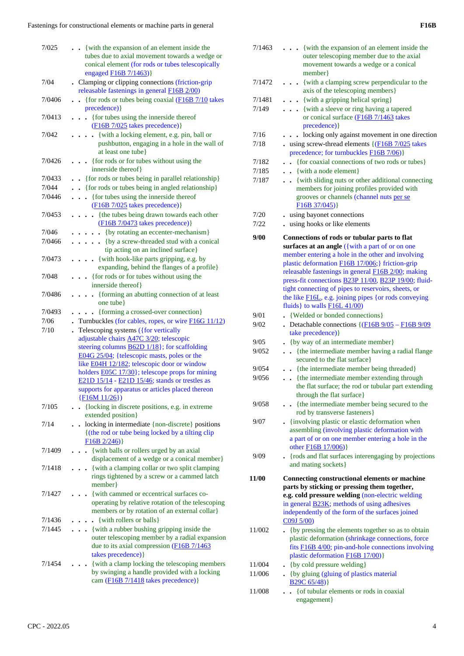| 7/025  | {with the expansion of an element inside the                                                             |
|--------|----------------------------------------------------------------------------------------------------------|
|        | tubes due to axial movement towards a wedge or                                                           |
|        | conical element (for rods or tubes telescopically                                                        |
|        | engaged F16B 7/1463)}                                                                                    |
| 7/04   | . Clamping or clipping connections (friction-grip                                                        |
|        | releasable fastenings in general <b>F16B</b> 2/00)                                                       |
| 7/0406 | {for rods or tubes being coaxial (F16B 7/10 takes                                                        |
|        | precedence) }                                                                                            |
| 7/0413 | • {for tubes using the innerside thereof                                                                 |
|        | $(F16B 7/025$ takes precedence)}                                                                         |
| 7/042  | {with a locking element, e.g. pin, ball or<br>$\ddot{\phantom{0}}$                                       |
|        | pushbutton, engaging in a hole in the wall of<br>at least one tube}                                      |
| 7/0426 | {for rods or for tubes without using the                                                                 |
|        | innerside thereof}                                                                                       |
| 7/0433 | • {for rods or tubes being in parallel relationship}                                                     |
| 7/044  |                                                                                                          |
| 7/0446 | . {for rods or tubes being in angled relationship}                                                       |
|        | . {for tubes using the innerside thereof<br>$(F16B 7/025$ takes precedence)}                             |
| 7/0453 | {the tubes being drawn towards each other<br>$\ddot{\phantom{0}}$                                        |
|        | (F16B 7/0473 takes precedence) }                                                                         |
| 7/046  | {by rotating an eccenter-mechanism}<br>.                                                                 |
| 7/0466 | . { by a screw-threaded stud with a conical                                                              |
|        | tip acting on an inclined surface}                                                                       |
| 7/0473 | . . {with hook-like parts gripping, e.g. by                                                              |
|        | expanding, behind the flanges of a profile}                                                              |
| 7/048  | . {for rods or for tubes without using the                                                               |
|        | innerside thereof}                                                                                       |
| 7/0486 | {forming an abutting connection of at least<br>$\ddot{\phantom{a}}$                                      |
|        | one tube}                                                                                                |
| 7/0493 | {forming a crossed-over connection}                                                                      |
| 7/06   | Turnbuckles (for cables, ropes, or wire $F16G11/12$ )                                                    |
| 7/10   | Telescoping systems ({for vertically                                                                     |
|        | adjustable chairs A47C 3/20; telescopic                                                                  |
|        | steering columns <b>B62D</b> 1/18}; for scaffolding                                                      |
|        | E04G 25/04; {telescopic masts, poles or the                                                              |
|        | like E04H 12/182; telescopic door or window                                                              |
|        | holders <b>E05C</b> 17/30}; telescope props for mining<br>E21D 15/14 - E21D 15/46; stands or trestles as |
|        | supports for apparatus or articles placed thereon                                                        |
|        | $\{F16M11/26\})$                                                                                         |
| 7/105  | {locking in discrete positions, e.g. in extreme<br>$\mathbf{r}$                                          |
|        | extended position}                                                                                       |
| 7/14   | locking in intermediate {non-discrete} positions                                                         |
|        | {(the rod or tube being locked by a tilting clip                                                         |
|        | $F16B 2/246$ }                                                                                           |
| 7/1409 | - {with balls or rollers urged by an axial                                                               |
|        | displacement of a wedge or a conical member}                                                             |
| 7/1418 | • {with a clamping collar or two split clamping                                                          |
|        | rings tightened by a screw or a cammed latch                                                             |
|        | member }                                                                                                 |
| 7/1427 | {with cammed or eccentrical surfaces co-                                                                 |
|        | operating by relative rotation of the telescoping                                                        |
| 7/1436 | members or by rotation of an external collar)<br>. {with rollers or balls}                               |
| 7/1445 | . . {with a rubber bushing gripping inside the                                                           |
|        | outer telescoping member by a radial expansion                                                           |
|        | due to its axial compression (F16B 7/1463                                                                |
|        | takes precedence) }                                                                                      |
| 7/1454 | {with a clamp locking the telescoping members                                                            |
|        | by swinging a handle provided with a locking                                                             |
|        | cam (F16B 7/1418 takes precedence)}                                                                      |
|        |                                                                                                          |

| 7/1463           | {with the expansion of an element inside the<br>.<br>outer telescoping member due to the axial<br>movement towards a wedge or a conical<br>member }         |
|------------------|-------------------------------------------------------------------------------------------------------------------------------------------------------------|
| 7/1472           | {with a clamping screw perpendicular to the<br>axis of the telescoping members}                                                                             |
| 7/1481           | . . {with a gripping helical spring}                                                                                                                        |
| 7/149            | {with a sleeve or ring having a tapered                                                                                                                     |
|                  | or conical surface (F16B 7/1463 takes<br>precedence) }                                                                                                      |
| 7/16             | locking only against movement in one direction                                                                                                              |
| 7/18             | $\cdot$ using screw-thread elements { $(F16B7/025$ takes<br>precedence; for turnbuckles <b>F16B</b> 7/06)}                                                  |
| 7/182            | {for coaxial connections of two rods or tubes}                                                                                                              |
| 7/185            | $\bullet$ {with a node element}                                                                                                                             |
| 7/187            | {with sliding nuts or other additional connecting<br>members for joining profiles provided with<br>grooves or channels (channel nuts per se<br>F16B 37/045) |
| 7/20             | using bayonet connections                                                                                                                                   |
| 7/22             | using hooks or like elements                                                                                                                                |
| 9/00             | Connections of rods or tubular parts to flat                                                                                                                |
|                  | surfaces at an angle ({with a part of or on one                                                                                                             |
|                  | member entering a hole in the other and involving<br>plastic deformation F16B 17/006;} friction-grip                                                        |
|                  | releasable fastenings in general F16B 2/00; making                                                                                                          |
|                  | press-fit connections <b>B23P 11/00</b> , <b>B23P 19/00</b> ; fluid-<br>tight connecting of pipes to reservoirs, sheets, or                                 |
|                  | the like <b>F16L</b> , e.g. joining pipes {or rods conveying<br>fluids} to walls $F16L41/00$                                                                |
| 9/01             | • {Welded or bonded connections}                                                                                                                            |
| 9/02             | Detachable connections $\left( \frac{\text{F16B } 9}{05} - \frac{\text{F16B } 9}{9} \right)$<br>take precedence) }                                          |
| 9/05             | • {by way of an intermediate member}                                                                                                                        |
| 9/052            | {the intermediate member having a radial flange<br>$\sim$                                                                                                   |
| 9/054            | secured to the flat surface}<br>. {the intermediate member being threaded}                                                                                  |
| 9/056            | {the intermediate member extending through                                                                                                                  |
|                  | the flat surface; the rod or tubular part extending<br>through the flat surface}                                                                            |
| 9/058            | {the intermediate member being secured to the<br>rod by transverse fasteners}                                                                               |
| 9/07             | - {involving plastic or elastic deformation when                                                                                                            |
|                  | assembling (involving plastic deformation with                                                                                                              |
|                  | a part of or on one member entering a hole in the<br>other <b>F16B</b> 17/006)}                                                                             |
| 9/09             | - {rods and flat surfaces interengaging by projections                                                                                                      |
|                  | and mating sockets}                                                                                                                                         |
| 11/00            | Connecting constructional elements or machine                                                                                                               |
|                  | parts by sticking or pressing them together,                                                                                                                |
|                  | e.g. cold pressure welding (non-electric welding<br>in general <b>B23K</b> ; methods of using adhesives                                                     |
|                  | independently of the form of the surfaces joined                                                                                                            |
|                  | C09J 5/00                                                                                                                                                   |
| 11/002           | . {by pressing the elements together so as to obtain                                                                                                        |
|                  | plastic deformation (shrinkage connections, force                                                                                                           |
|                  | fits <b>F16B 4/00</b> ; pin-and-hole connections involving                                                                                                  |
|                  | plastic deformation F16B 17/00)}                                                                                                                            |
| 11/004<br>11/006 | {by cold pressure welding}                                                                                                                                  |
|                  | • {by gluing (gluing of plastics material<br>B <sub>29</sub> C <sub>65</sub> /48)                                                                           |
| 11/008           | {of tubular elements or rods in coaxial                                                                                                                     |
|                  | engagement}                                                                                                                                                 |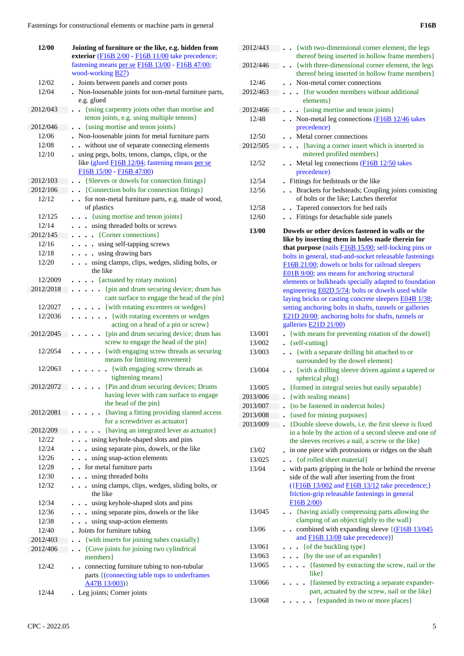| 12/00     | Jointing of furniture or the like, e.g. hidden from                    |
|-----------|------------------------------------------------------------------------|
|           | exterior (F16B 2/00 - F16B 11/00 take precedence;                      |
|           | fastening means per se F16B 13/00 - F16B 47/00;                        |
|           | wood-working <b>B27</b> )                                              |
| 12/02     | Joints between panels and corner posts                                 |
| 12/04     | . Non-loosenable joints for non-metal furniture parts,                 |
|           | e.g. glued                                                             |
| 2012/043  | {using carpentry joints other than mortise and<br>$\ddot{\phantom{0}}$ |
|           | tenon joints, e.g. using multiple tenons}                              |
| 2012/046  | {using mortise and tenon joints}<br>$\ddot{\phantom{1}}$               |
| 12/06     | Non-loosenable joints for metal furniture parts                        |
| 12/08     | without use of separate connecting elements                            |
| 12/10     | using pegs, bolts, tenons, clamps, clips, or the                       |
|           | like (glued F16B 12/04; fastening means per se                         |
|           | $F16B$ $15/00 - F16B$ $47/00$                                          |
| 2012/103  | • {Sleeves or dowels for connection fittings}                          |
| 2012/106  | • {Connection bolts for connection fittings}                           |
| 12/12     | for non-metal furniture parts, e.g. made of wood,                      |
|           | of plastics                                                            |
| 12/125    | {using mortise and tenon joints}                                       |
| 12/14     | using threaded bolts or screws                                         |
| 2012/145  | {Corner connections}<br>$\ddot{\phantom{a}}$                           |
| 12/16     | using self-tapping screws<br>$\ddot{\phantom{0}}$                      |
| 12/18     | using drawing bars<br>$\ddot{\phantom{a}}$                             |
| 12/20     | using clamps, clips, wedges, sliding bolts, or<br>$\ddot{\phantom{1}}$ |
|           | the like                                                               |
| 12/2009   | • {actuated by rotary motion}                                          |
| 2012/2018 | {pin and drum securing device; drum has<br>$\ddot{\phantom{0}}$        |
|           | cam surface to engage the head of the pin}                             |
| 12/2027   | • {with rotating excenters or wedges}                                  |
| 12/2036   | • {with rotating excenters or wedges                                   |
|           | acting on a head of a pin or screw}                                    |
| 2012/2045 | {pin and drum securing device; drum has<br>$\ddot{\phantom{0}}$        |
|           | screw to engage the head of the pin}                                   |
| 12/2054   | {with engaging screw threads as securing                               |
|           | means for limiting movement}                                           |
| 12/2063   | {with engaging screw threads as                                        |
|           | tightening means}                                                      |
| 2012/2072 | {Pin and drum securing devices; Drums                                  |
|           | having lever with cam surface to engage                                |
|           | the head of the pin}                                                   |
| 2012/2081 | {having a fitting providing slanted access                             |
|           | for a screwdriver as actuator}                                         |
| 2012/209  | {having an integrated lever as actuator}                               |
| 12/22     | using keyhole-shaped slots and pins                                    |
| 12/24     | using separate pins, dowels, or the like                               |
| 12/26     | using snap-action elements                                             |
| 12/28     | for metal furniture parts                                              |
| 12/30     | using threaded bolts                                                   |
| 12/32     | using clamps, clips, wedges, sliding bolts, or                         |
|           | the like                                                               |
| 12/34     | using keyhole-shaped slots and pins                                    |
| 12/36     | using separate pins, dowels or the like                                |
| 12/38     | using snap-action elements                                             |
| 12/40     | Joints for furniture tubing                                            |
| 2012/403  | {with inserts for joining tubes coaxially}<br>$\ddot{\phantom{0}}$     |
| 2012/406  | {Cove joints for joining two cylindrical<br>$\cdot$                    |
|           | members }                                                              |
| 12/42     | connecting furniture tubing to non-tubular                             |
|           | parts {(connecting table tops to underframes                           |
|           | $A47B$ 13/003)                                                         |
| 12/44     | Leg joints; Corner joints                                              |

| 12/46    | Non-metal corner connections                                                                                                                                                                                                                                                                                                                                                                                                                                                                                                                                                                                            |
|----------|-------------------------------------------------------------------------------------------------------------------------------------------------------------------------------------------------------------------------------------------------------------------------------------------------------------------------------------------------------------------------------------------------------------------------------------------------------------------------------------------------------------------------------------------------------------------------------------------------------------------------|
| 2012/463 | {for wooden members without additional<br>$\ddot{\phantom{a}}$                                                                                                                                                                                                                                                                                                                                                                                                                                                                                                                                                          |
|          | elements }                                                                                                                                                                                                                                                                                                                                                                                                                                                                                                                                                                                                              |
| 2012/466 | {using mortise and tenon joints}<br>$\ddot{\phantom{0}}$                                                                                                                                                                                                                                                                                                                                                                                                                                                                                                                                                                |
| 12/48    | $\bullet$ Non-metal leg connections ( $F16B12/46$ takes                                                                                                                                                                                                                                                                                                                                                                                                                                                                                                                                                                 |
|          | precedence)                                                                                                                                                                                                                                                                                                                                                                                                                                                                                                                                                                                                             |
| 12/50    | Metal corner connections<br>$\overline{a}$                                                                                                                                                                                                                                                                                                                                                                                                                                                                                                                                                                              |
| 2012/505 | {having a corner insert which is inserted in<br>$\ddot{\phantom{0}}$                                                                                                                                                                                                                                                                                                                                                                                                                                                                                                                                                    |
|          | mitered profiled members}                                                                                                                                                                                                                                                                                                                                                                                                                                                                                                                                                                                               |
| 12/52    | Metal leg connections (F16B 12/50 takes<br>precedence)                                                                                                                                                                                                                                                                                                                                                                                                                                                                                                                                                                  |
| 12/54    | Fittings for bedsteads or the like                                                                                                                                                                                                                                                                                                                                                                                                                                                                                                                                                                                      |
| 12/56    | Brackets for bedsteads; Coupling joints consisting<br>$\ddot{\phantom{a}}$<br>of bolts or the like; Latches therefor                                                                                                                                                                                                                                                                                                                                                                                                                                                                                                    |
| 12/58    | Tapered connectors for bed rails<br>$\ddot{\phantom{0}}$                                                                                                                                                                                                                                                                                                                                                                                                                                                                                                                                                                |
| 12/60    | Fittings for detachable side panels<br>$\ddot{\phantom{0}}$                                                                                                                                                                                                                                                                                                                                                                                                                                                                                                                                                             |
|          |                                                                                                                                                                                                                                                                                                                                                                                                                                                                                                                                                                                                                         |
| 13/00    | Dowels or other devices fastened in walls or the<br>like by inserting them in holes made therein for<br>that purpose (nails $F16B$ 15/00; self-locking pins or<br>bolts in general, stud-and-socket releasable fastenings<br>F16B 21/00; dowels or bolts for railroad sleepers<br>E01B 9/00; ans means for anchoring structural<br>elements or bulkheads specially adapted to foundation<br>engineering E02D 5/74; bolts or dowels used while<br>laying bricks or casting concrete sleepers E04B 1/38;<br>setting anchoring bolts in shafts, tunnels or galleries<br>E21D 20/00; anchoring bolts for shafts, tunnels or |
|          | galleries E21D 21/00)                                                                                                                                                                                                                                                                                                                                                                                                                                                                                                                                                                                                   |
| 13/001   | {with means for preventing rotation of the dowel}                                                                                                                                                                                                                                                                                                                                                                                                                                                                                                                                                                       |
| 13/002   | $\left\{ \text{self-cutting} \right\}$                                                                                                                                                                                                                                                                                                                                                                                                                                                                                                                                                                                  |
| 13/003   | . . {with a separate drilling bit attached to or<br>surrounded by the dowel element}                                                                                                                                                                                                                                                                                                                                                                                                                                                                                                                                    |
| 13/004   | . . {with a drilling sleeve driven against a tapered or<br>spherical plug}                                                                                                                                                                                                                                                                                                                                                                                                                                                                                                                                              |
| 13/005   | {formed in integral series but easily separable}                                                                                                                                                                                                                                                                                                                                                                                                                                                                                                                                                                        |
| 2013/006 | {with sealing means}                                                                                                                                                                                                                                                                                                                                                                                                                                                                                                                                                                                                    |
| 2013/007 | {to be fastened in undercut holes}                                                                                                                                                                                                                                                                                                                                                                                                                                                                                                                                                                                      |
| 2013/008 | {used for mining purposes}                                                                                                                                                                                                                                                                                                                                                                                                                                                                                                                                                                                              |
| 2013/009 | {Double sleeve dowels, i.e. the first sleeve is fixed<br>in a hole by the action of a second sleeve and one of<br>the sleeves receives a nail, a screw or the like}                                                                                                                                                                                                                                                                                                                                                                                                                                                     |
| 13/02    | in one piece with protrusions or ridges on the shaft<br>$\ddot{\phantom{0}}$                                                                                                                                                                                                                                                                                                                                                                                                                                                                                                                                            |
| 13/025   | {of rolled sheet material}                                                                                                                                                                                                                                                                                                                                                                                                                                                                                                                                                                                              |
| 13/04    | . with parts gripping in the hole or behind the reverse<br>side of the wall after inserting from the front<br>({F16B 13/002 and F16B 13/12 take precedence;}<br>friction-grip releasable fastenings in general<br>$F16B$ 2/00)                                                                                                                                                                                                                                                                                                                                                                                          |
| 13/045   | {having axially compressing parts allowing the<br>$\ddot{\phantom{0}}$<br>clamping of an object tightly to the wall}                                                                                                                                                                                                                                                                                                                                                                                                                                                                                                    |
| 13/06    | combined with expanding sleeve {(F16B 13/045)<br>$\ddot{\phantom{0}}$<br>and <b>F16B 13/08</b> take precedence) }                                                                                                                                                                                                                                                                                                                                                                                                                                                                                                       |
| 13/061   | • { of the buckling type}                                                                                                                                                                                                                                                                                                                                                                                                                                                                                                                                                                                               |
| 13/063   | {by the use of an expander}                                                                                                                                                                                                                                                                                                                                                                                                                                                                                                                                                                                             |
| 13/065   | {fastened by extracting the screw, nail or the                                                                                                                                                                                                                                                                                                                                                                                                                                                                                                                                                                          |
|          | $like$ }                                                                                                                                                                                                                                                                                                                                                                                                                                                                                                                                                                                                                |
| 13/066   | {fastened by extracting a separate expander-<br>part, actuated by the screw, nail or the like}                                                                                                                                                                                                                                                                                                                                                                                                                                                                                                                          |
| 13/068   | {expanded in two or more places}                                                                                                                                                                                                                                                                                                                                                                                                                                                                                                                                                                                        |

2012/443 . . {with two-dimensional corner element, the legs

2012/446 **. .** {with three-dimensional corner element, the legs

thereof being inserted in hollow frame members}

thereof being inserted in hollow frame members}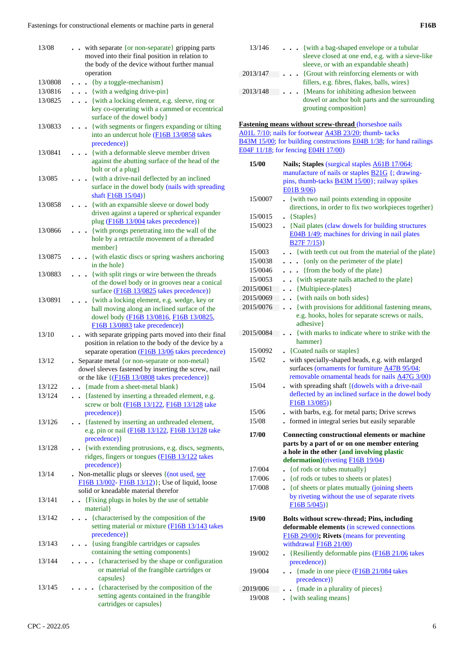| 13/08   | - with separate {or non-separate} gripping parts<br>moved into their final position in relation to      |
|---------|---------------------------------------------------------------------------------------------------------|
|         | the body of the device without further manual                                                           |
|         | operation                                                                                               |
| 13/0808 | {by a toggle-mechanism}                                                                                 |
| 13/0816 | {with a wedging drive-pin}                                                                              |
| 13/0825 | {with a locking element, e.g. sleeve, ring or                                                           |
|         | key co-operating with a cammed or eccentrical<br>surface of the dowel body}                             |
| 13/0833 | {with segments or fingers expanding or tilting                                                          |
|         | into an undercut hole (F16B 13/0858 takes<br>precedence) }                                              |
| 13/0841 | {with a deformable sleeve member driven<br>$\ddot{\phantom{0}}$                                         |
|         | against the abutting surface of the head of the<br>bolt or of a plug}                                   |
| 13/085  | {with a drive-nail deflected by an inclined                                                             |
|         | surface in the dowel body (nails with spreading<br>shaft <b>F16B</b> 15/04)}                            |
| 13/0858 | {with an expansible sleeve or dowel body                                                                |
|         | driven against a tapered or spherical expander<br>plug (F16B 13/004 takes precedence)}                  |
| 13/0866 | {with prongs penetrating into the wall of the                                                           |
|         | hole by a retractile movement of a threaded<br>member}                                                  |
| 13/0875 | {with elastic discs or spring washers anchoring                                                         |
|         | in the hole }                                                                                           |
| 13/0883 | {with split rings or wire between the threads<br>$\bullet$                                              |
|         | of the dowel body or in grooves near a conical                                                          |
|         | surface (F16B 13/0825 takes precedence)}                                                                |
| 13/0891 | {with a locking element, e.g. wedge, key or<br>ball moving along an inclined surface of the             |
|         | dowel body (F16B 13/0816, F16B 13/0825,                                                                 |
|         | F16B 13/0883 take precedence) }                                                                         |
| 13/10   | - with separate gripping parts moved into their final                                                   |
|         | position in relation to the body of the device by a<br>separate operation (F16B 13/06 takes precedence) |
| 13/12   | • Separate metal {or non-separate or non-metal}                                                         |
|         | dowel sleeves fastened by inserting the screw, nail                                                     |
|         | or the like $\{(\underline{F16B 13/0808} \text{ takes precedence})\}$                                   |
| 13/122  | {made from a sheet-metal blank}                                                                         |
| 13/124  | · {fastened by inserting a threaded element, e.g.<br>screw or bolt (F16B 13/122, F16B 13/128 take       |
|         | precedence) }                                                                                           |
| 13/126  | . {fastened by inserting an unthreaded element,                                                         |
|         | e.g. pin or nail (F16B 13/122, F16B 13/128 take                                                         |
|         | precedence) }                                                                                           |
| 13/128  | • {with extending protrusions, e.g. discs, segments,<br>ridges, fingers or tongues (F16B 13/122 takes   |
|         | precedence) }                                                                                           |
| 13/14   | . Non-metallic plugs or sleeves $\{(\text{not used, see}$                                               |
|         | F16B 13/002- F16B 13/12)}; Use of liquid, loose                                                         |
|         | solid or kneadable material therefor                                                                    |
| 13/141  | {Fixing plugs in holes by the use of settable}<br>$\ddot{\phantom{a}}$                                  |
|         | material }                                                                                              |
| 13/142  | {characterised by the composition of the<br>setting material or mixture (F16B 13/143 takes              |
|         | precedence) }                                                                                           |
| 13/143  | {using frangible cartridges or capsules<br>containing the setting components}                           |
| 13/144  | {characterised by the shape or configuration<br>$\ddot{\phantom{a}}$                                    |
|         | or material of the frangible cartridges or                                                              |
|         | capsules }                                                                                              |
| 13/145  | {characterised by the composition of the                                                                |
|         | setting agents contained in the frangible                                                               |
|         |                                                                                                         |
|         | cartridges or capsules}                                                                                 |

| 13/146   | $\ldots$ {with a bag-shaped envelope or a tubular<br>sleeve closed at one end, e.g. with a sieve-like<br>sleeve, or with an expandable sheath } |
|----------|-------------------------------------------------------------------------------------------------------------------------------------------------|
| 2013/147 | {Grout with reinforcing elements or with<br>fillers, e.g. fibres, flakes, balls, wires                                                          |
| 2013/148 | {Means for inhibiting adhesion between<br>dowel or anchor bolt parts and the surrounding<br>grouting composition}                               |

**Fastening means without screw-thread** (horseshoe nails A01L 7/10; nails for footwear A43B 23/20; thumb- tacks B43M 15/00; for building constructions E04B 1/38; for hand railings E04F 11/18; for fencing E04H 17/00)

| 15/00     | Nails; Staples (surgical staples A61B 17/064;                                                         |
|-----------|-------------------------------------------------------------------------------------------------------|
|           | manufacture of nails or staples <b>B21G</b> {; drawing-                                               |
|           | pins, thumb-tacks <b>B43M 15/00</b> }; railway spikes                                                 |
|           | E01B 9/06)                                                                                            |
| 15/0007   | {with two nail points extending in opposite                                                           |
|           | directions, in order to fix two workpieces together}                                                  |
| 15/0015   | $\bullet \ \{Staples\}$                                                                               |
| 15/0023   | . {Nail plates (claw dowels for building structures<br>E04B 1/49; machines for driving in nail plates |
|           | B27F7/15)                                                                                             |
| 15/003    | {with teeth cut out from the material of the plate}                                                   |
| 15/0038   | $\bullet$ $\bullet$ {only on the perimeter of the plate}                                              |
| 15/0046   | {from the body of the plate}<br>$\ddot{\phantom{0}}$                                                  |
| 15/0053   | . {with separate nails attached to the plate}                                                         |
| 2015/0061 | {Multipiece-plates}<br>$\ddot{\phantom{a}}$                                                           |
| 2015/0069 | {with nails on both sides}<br>$\ddot{\phantom{a}}$                                                    |
| 2015/0076 | {with provisions for additional fastening means,<br>$\ddot{\phantom{a}}$                              |
|           | e.g. hooks, holes for separate screws or nails,                                                       |
|           | adhesive}                                                                                             |
| 2015/0084 | • {with marks to indicate where to strike with the                                                    |
|           | hammer                                                                                                |
| 15/0092   | • {Coated nails or staples}                                                                           |
| 15/02     | with specially-shaped heads, e.g. with enlarged                                                       |
|           | surfaces (ornaments for furniture A47B 95/04;                                                         |
|           | removable ornamental heads for nails A47G 3/00)                                                       |
| 15/04     | . with spreading shaft {(dowels with a drive-nail                                                     |
|           | deflected by an inclined surface in the dowel body<br>F16B13/085)                                     |
| 15/06     | . with barbs, e.g. for metal parts; Drive screws                                                      |
| 15/08     | formed in integral series but easily separable                                                        |
|           |                                                                                                       |
| 17/00     | <b>Connecting constructional elements or machine</b>                                                  |
|           | parts by a part of or on one member entering                                                          |
|           | a hole in the other {and involving plastic                                                            |
| 17/004    | deformation}(riveting F16B 19/04)<br>{of rods or tubes mutually}                                      |
| 17/006    | • { of rods or tubes to sheets or plates }                                                            |
| 17/008    | • { of sheets or plates mutually (joining sheets                                                      |
|           | by riveting without the use of separate rivets                                                        |
|           | $F16B\ 5/045)$                                                                                        |
|           |                                                                                                       |
| 19/00     | <b>Bolts without screw-thread; Pins, including</b><br>deformable elements (in screwed connections     |
|           | F16B 29/00); Rivets (means for preventing                                                             |
|           | withdrawal $F16B 21/00$                                                                               |
| 19/002    | {Resiliently deformable pins (F16B 21/06 takes                                                        |
|           | precedence) }                                                                                         |
| 19/004    | {made in one piece (F16B 21/084 takes                                                                 |
|           | precedence) }                                                                                         |
| 2019/006  | - {made in a plurality of pieces}                                                                     |
| 19/008    | {with sealing means}                                                                                  |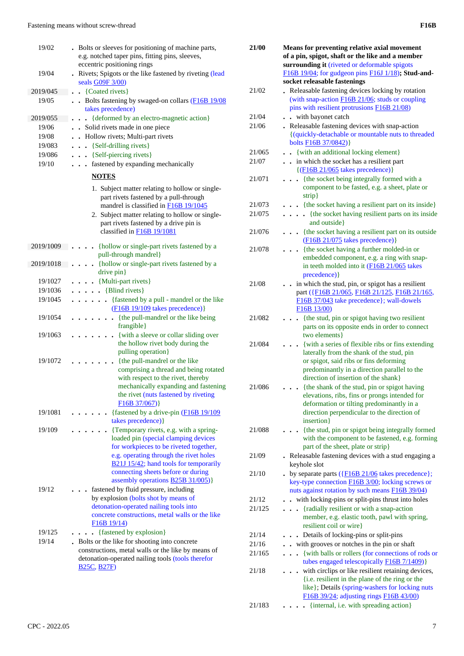| 19/02     | . Bolts or sleeves for positioning of machine parts,                                                                                                                                                                                                          |
|-----------|---------------------------------------------------------------------------------------------------------------------------------------------------------------------------------------------------------------------------------------------------------------|
|           | e.g. notched taper pins, fitting pins, sleeves,                                                                                                                                                                                                               |
|           | eccentric positioning rings                                                                                                                                                                                                                                   |
| 19/04     | . Rivets; Spigots or the like fastened by riveting (lead<br>seals G09F 3/00)                                                                                                                                                                                  |
| 2019/045  | $\cdot$ {Coated rivets}                                                                                                                                                                                                                                       |
| 19/05     | Bolts fastening by swaged-on collars $(F16B 19/08)$<br>takes precedence)                                                                                                                                                                                      |
| 2019/055  | {deformed by an electro-magnetic action}<br>$\ddot{\phantom{a}}$                                                                                                                                                                                              |
| 19/06     | Solid rivets made in one piece                                                                                                                                                                                                                                |
| 19/08     | • Hollow rivets; Multi-part rivets                                                                                                                                                                                                                            |
| 19/083    | . . {Self-drilling rivets}                                                                                                                                                                                                                                    |
| 19/086    | $\bullet$ $\bullet$ {Self-piercing rivets}                                                                                                                                                                                                                    |
| 19/10     | fastened by expanding mechanically<br>.                                                                                                                                                                                                                       |
|           | <b>NOTES</b>                                                                                                                                                                                                                                                  |
|           | 1. Subject matter relating to hollow or single-<br>part rivets fastened by a pull-through<br>mandrel is classified in F16B 19/1045<br>2. Subject matter relating to hollow or single-<br>part rivets fastened by a drive pin is<br>classified in F16B 19/1081 |
| 2019/1009 | {hollow or single-part rivets fastened by a<br>$\ddot{\phantom{a}}$<br>pull-through mandrel}                                                                                                                                                                  |
| 2019/1018 | {hollow or single-part rivets fastened by a                                                                                                                                                                                                                   |
|           | drive pin}                                                                                                                                                                                                                                                    |
| 19/1027   | $\bullet$ $\bullet$ {Multi-part rivets}                                                                                                                                                                                                                       |
| 19/1036   | $\bullet$ $\bullet$ {Blind rivets}                                                                                                                                                                                                                            |
| 19/1045   | . {fastened by a pull - mandrel or the like<br>(F16B 19/109 takes precedence)}                                                                                                                                                                                |
| 19/1054   | {the pull-mandrel or the like being<br>$\ddot{\phantom{0}}$<br>frangible}                                                                                                                                                                                     |
| 19/1063   | {with a sleeve or collar sliding over<br>the hollow rivet body during the<br>pulling operation}                                                                                                                                                               |
| 19/1072   | {the pull-mandrel or the like                                                                                                                                                                                                                                 |
|           | comprising a thread and being rotated<br>with respect to the rivet, thereby<br>mechanically expanding and fastening<br>the rivet (nuts fastened by riveting<br>F16B 37/067)                                                                                   |
| 19/1081   | {fastened by a drive-pin (F16B 19/109)<br>takes precedence) }                                                                                                                                                                                                 |
| 19/109    | {Temporary rivets, e.g. with a spring-                                                                                                                                                                                                                        |
|           | loaded pin (special clamping devices<br>for workpieces to be riveted together,<br>e.g. operating through the rivet holes<br>B21J 15/42; hand tools for temporarily<br>connecting sheets before or during<br>assembly operations <b>B25B 31/005</b> )}         |
| 19/12     | fastened by fluid pressure, including<br>by explosion (bolts shot by means of                                                                                                                                                                                 |
|           | detonation-operated nailing tools into                                                                                                                                                                                                                        |
|           | concrete constructions, metal walls or the like<br>F16B19/14                                                                                                                                                                                                  |
| 19/125    | {fastened by explosion}<br>$\ddot{\phantom{a}}$                                                                                                                                                                                                               |
| 19/14     | . Bolts or the like for shooting into concrete                                                                                                                                                                                                                |
|           | constructions, metal walls or the like by means of                                                                                                                                                                                                            |
|           | detonation-operated nailing tools (tools therefor                                                                                                                                                                                                             |
|           | <b>B25C, B27F)</b>                                                                                                                                                                                                                                            |
|           |                                                                                                                                                                                                                                                               |
|           |                                                                                                                                                                                                                                                               |

| × |  |
|---|--|

| 21/00  | Means for preventing relative axial movement<br>of a pin, spigot, shaft or the like and a member                                                                                                                                 |
|--------|----------------------------------------------------------------------------------------------------------------------------------------------------------------------------------------------------------------------------------|
|        | surrounding it (riveted or deformable spigots<br>F16B 19/04; for gudgeon pins F16J 1/18); Stud-and-                                                                                                                              |
|        | socket releasable fastenings                                                                                                                                                                                                     |
| 21/02  | Releasable fastening devices locking by rotation<br>(with snap-action F16B 21/06; studs or coupling                                                                                                                              |
|        | pins with resilient protrusions F16B 21/08)                                                                                                                                                                                      |
| 21/04  | . with bayonet catch                                                                                                                                                                                                             |
| 21/06  | Releasable fastening devices with snap-action                                                                                                                                                                                    |
|        | {(quickly-detachable or mountable nuts to threaded<br>bolts F16B 37/0842)}                                                                                                                                                       |
| 21/065 | {with an additional locking element}                                                                                                                                                                                             |
| 21/07  | . . in which the socket has a resilient part<br>$\{(\underline{F16B 21/065} \text{ takes precedence})\}$                                                                                                                         |
| 21/071 | {the socket being integrally formed with a<br>$\ddot{\phantom{0}}$<br>component to be fasted, e.g. a sheet, plate or<br>strip}                                                                                                   |
| 21/073 | . {the socket having a resilient part on its inside}                                                                                                                                                                             |
| 21/075 | . {the socket having resilient parts on its inside<br>and outside }                                                                                                                                                              |
| 21/076 | {the socket having a resilient part on its outside<br>(F16B 21/075 takes precedence)}                                                                                                                                            |
| 21/078 | {the socket having a further molded-in or                                                                                                                                                                                        |
|        | embedded component, e.g. a ring with snap-<br>in teeth molded into it (F16B 21/065 takes<br>precedence) }                                                                                                                        |
| 21/08  | in which the stud, pin, or spigot has a resilient<br>part ({F16B 21/065, F16B 21/125, F16B 21/165,<br>F16B 37/043 take precedence}; wall-dowels<br>F16B13/00                                                                     |
| 21/082 | {the stud, pin or spigot having two resilient<br>parts on its opposite ends in order to connect<br>two elements }                                                                                                                |
| 21/084 |                                                                                                                                                                                                                                  |
|        | {with a series of flexible ribs or fins extending<br>laterally from the shank of the stud, pin<br>or spigot, said ribs or fins deforming<br>predominantly in a direction parallel to the<br>direction of insertion of the shank} |
| 21/086 | {the shank of the stud, pin or spigot having                                                                                                                                                                                     |
|        | elevations, ribs, fins or prongs intended for<br>deformation or tilting predominantly in a<br>direction perpendicular to the direction of<br>insertion}                                                                          |
| 21/088 | {the stud, pin or spigot being integrally formed<br>with the component to be fastened, e.g. forming<br>part of the sheet, plate or strip}                                                                                        |
| 21/09  | . Releasable fastening devices with a stud engaging a<br>keyhole slot                                                                                                                                                            |
| 21/10  | - by separate parts $(\overline{\text{F16B 21/06}})$ takes precedence};<br>key-type connection <b>F16B</b> 3/00; locking screws or<br>nuts against rotation by such means F16B 39/04)                                            |
| 21/12  | - with locking-pins or split-pins thrust into holes                                                                                                                                                                              |
| 21/125 | . {radially resilient or with a snap-action                                                                                                                                                                                      |
|        | member, e.g. elastic tooth, pawl with spring,<br>resilient coil or wire}                                                                                                                                                         |
| 21/14  | Details of locking-pins or split-pins<br>$\ddot{\phantom{0}}$                                                                                                                                                                    |
| 21/16  | . with grooves or notches in the pin or shaft                                                                                                                                                                                    |
| 21/165 | {with balls or rollers (for connections of rods or<br>$\ddot{\phantom{0}}$                                                                                                                                                       |
| 21/18  | tubes engaged telescopically F16B 7/1409)}<br>with circlips or like resilient retaining devices,                                                                                                                                 |
|        | {i.e. resilient in the plane of the ring or the<br>like}; Details (spring-washers for locking nuts                                                                                                                               |
|        | F16B 39/24; adjusting rings F16B 43/00)                                                                                                                                                                                          |
| 21/183 | {internal, i.e. with spreading action}<br>$\ddot{\phantom{a}}$                                                                                                                                                                   |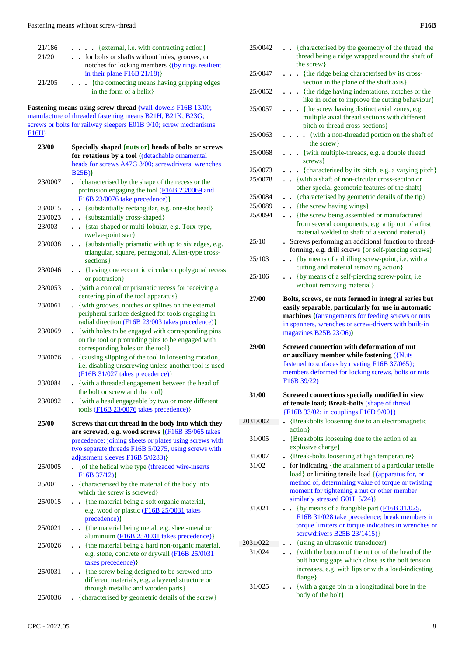| 21/186<br>21/20 | . {external, i.e. with contracting action}<br>. . for bolts or shafts without holes, grooves, or<br>notches for locking members { (by rings resilient                                                                                                               |
|-----------------|---------------------------------------------------------------------------------------------------------------------------------------------------------------------------------------------------------------------------------------------------------------------|
| 21/205          | in their plane $F16B 21/18$ )<br>{the connecting means having gripping edges<br>.<br>in the form of a helix}                                                                                                                                                        |
| F16H)           | Fastening means using screw-thread (wall-dowels F16B 13/00;<br>manufacture of threaded fastening means <b>B21H</b> , <b>B21K</b> , <b>B23G</b> ;<br>screws or bolts for railway sleepers <b>E01B 9/10</b> ; screw mechanisms                                        |
| 23/00           | Specially shaped {nuts or} heads of bolts or screws<br>for rotations by a tool {(detachable ornamental                                                                                                                                                              |
| 23/0007         | heads for screws <b>A47G 3/00</b> ; screwdrivers, wrenches<br>B25B)<br>. {characterised by the shape of the recess or the<br>protrusion engaging the tool (F16B 23/0069 and                                                                                         |
| 23/0015         | F16B 23/0076 take precedence) }<br>{substantially rectangular, e.g. one-slot head}<br>$\ddot{\phantom{0}}$                                                                                                                                                          |
| 23/0023         | . {substantially cross-shaped}                                                                                                                                                                                                                                      |
| 23/003          | . . {star-shaped or multi-lobular, e.g. Torx-type,<br>twelve-point star}                                                                                                                                                                                            |
| 23/0038         | {substantially prismatic with up to six edges, e.g.<br>$\ddot{\phantom{0}}$<br>triangular, square, pentagonal, Allen-type cross-<br>sections }                                                                                                                      |
| 23/0046         | . {having one eccentric circular or polygonal recess<br>or protrusion}                                                                                                                                                                                              |
| 23/0053         | {with a conical or prismatic recess for receiving a<br>centering pin of the tool apparatus}                                                                                                                                                                         |
| 23/0061         | • {with grooves, notches or splines on the external<br>peripheral surface designed for tools engaging in<br>radial direction (F16B 23/003 takes precedence)}                                                                                                        |
| 23/0069         | . {with holes to be engaged with corresponding pins<br>on the tool or protruding pins to be engaged with<br>corresponding holes on the tool}                                                                                                                        |
| 23/0076         | - {causing slipping of the tool in loosening rotation,<br>i.e. disabling unscrewing unless another tool is used<br>$(F16B 31/027$ takes precedence)}                                                                                                                |
| 23/0084         | {with a threaded engagement between the head of<br>the bolt or screw and the tool}                                                                                                                                                                                  |
| 23/0092         | {with a head engageable by two or more different<br>tools (F16B 23/0076 takes precedence) }                                                                                                                                                                         |
| 25/00           | Screws that cut thread in the body into which they<br>are screwed, e.g. wood screws {(F16B 35/065 takes<br>precedence; joining sheets or plates using screws with<br>two separate threads <b>F16B</b> 5/0275, using screws with<br>adjustment sleeves F16B 5/0283)} |
| 25/0005         | . { of the helical wire type (threaded wire-inserts<br>F16B 37/12)                                                                                                                                                                                                  |
| 25/001          | . {characterised by the material of the body into<br>which the screw is screwed}                                                                                                                                                                                    |
| 25/0015         | {the material being a soft organic material,<br>e.g. wood or plastic (F16B 25/0031 takes<br>precedence) }                                                                                                                                                           |
| 25/0021         | . . {the material being metal, e.g. sheet-metal or<br>aluminium (F16B 25/0031 takes precedence)}                                                                                                                                                                    |
| 25/0026         | {the material being a hard non-organic material,<br>e.g. stone, concrete or drywall (F16B 25/0031<br>takes precedence) }                                                                                                                                            |
| 25/0031         | {the screw being designed to be screwed into<br>different materials, e.g. a layered structure or<br>through metallic and wooden parts}                                                                                                                              |
|                 |                                                                                                                                                                                                                                                                     |

|          | <b>F16B</b>                                                                                                                                                                                                                                            |
|----------|--------------------------------------------------------------------------------------------------------------------------------------------------------------------------------------------------------------------------------------------------------|
| 25/0042  | {characterised by the geometry of the thread, the<br>thread being a ridge wrapped around the shaft of<br>the screw}                                                                                                                                    |
| 25/0047  | {the ridge being characterised by its cross-<br>section in the plane of the shaft axis}                                                                                                                                                                |
| 25/0052  | {the ridge having indentations, notches or the<br>like in order to improve the cutting behaviour}                                                                                                                                                      |
| 25/0057  | {the screw having distinct axial zones, e.g.<br>multiple axial thread sections with different<br>pitch or thread cross-sections}                                                                                                                       |
| 25/0063  | . {with a non-threaded portion on the shaft of<br>the screw}                                                                                                                                                                                           |
| 25/0068  | . {with multiple-threads, e.g. a double thread<br>screws }                                                                                                                                                                                             |
| 25/0073  | . {characterised by its pitch, e.g. a varying pitch}                                                                                                                                                                                                   |
| 25/0078  | . . {with a shaft of non-circular cross-section or<br>other special geometric features of the shaft}                                                                                                                                                   |
| 25/0084  | {characterised by geometric details of the tip}                                                                                                                                                                                                        |
| 25/0089  | . . {the screw having wings}                                                                                                                                                                                                                           |
| 25/0094  | {the screw being assembled or manufactured<br>from several components, e.g. a tip out of a first<br>material welded to shaft of a second material}                                                                                                     |
| 25/10    | . Screws performing an additional function to thread-<br>forming, e.g. drill screws {or self-piercing screws}                                                                                                                                          |
| 25/103   | . . {by means of a drilling screw-point, i.e. with a<br>cutting and material removing action}                                                                                                                                                          |
| 25/106   | {by means of a self-piercing screw-point, i.e.<br>without removing material}                                                                                                                                                                           |
| 27/00    | Bolts, screws, or nuts formed in integral series but<br>easily separable, particularly for use in automatic<br>machines {(arrangements for feeding screws or nuts<br>in spanners, wrenches or screw-drivers with built-in<br>magazines $B25B 23/06$ }  |
| 29/00    | Screwed connection with deformation of nut<br>or auxiliary member while fastening ({Nuts<br>fastened to surfaces by riveting F16B 37/065};<br>members deformed for locking screws, bolts or nuts<br>F16B 39/22)                                        |
| 31/00    | Screwed connections specially modified in view<br>of tensile load; Break-bolts (shape of thread<br>$\{F16B\}$ 33/02; in couplings $F16D\}$ 9/00})                                                                                                      |
| 2031/002 | {Breakbolts loosening due to an electromagnetic                                                                                                                                                                                                        |
| 31/005   | action }<br>• {Breakbolts loosening due to the action of an                                                                                                                                                                                            |
| 31/007   | explosive charge}<br>• {Break-bolts loosening at high temperature}                                                                                                                                                                                     |
| 31/02    | . for indicating {the attainment of a particular tensile<br>load} or limiting tensile load { (apparatus for, or<br>method of, determining value of torque or twisting<br>moment for tightening a nut or other member<br>similarly stressed G01L 5/24)} |
| 31/021   | {by means of a frangible part (F16B 31/025,<br>F16B 31/028 take precedence; break members in<br>torque limiters or torque indicators in wrenches or<br>screwdrivers $B25B 23/1415$ }                                                                   |
| 2031/022 | {using an ultrasonic transducer}<br>$\ddot{\phantom{a}}$                                                                                                                                                                                               |

- 31/024 **. .** {with the bottom of the nut or of the head of the bolt having gaps which close as the bolt tension increases, e.g. with lips or with a load-indicating flange}
- 31/025 **. .** {with a gauge pin in a longitudinal bore in the body of the bolt}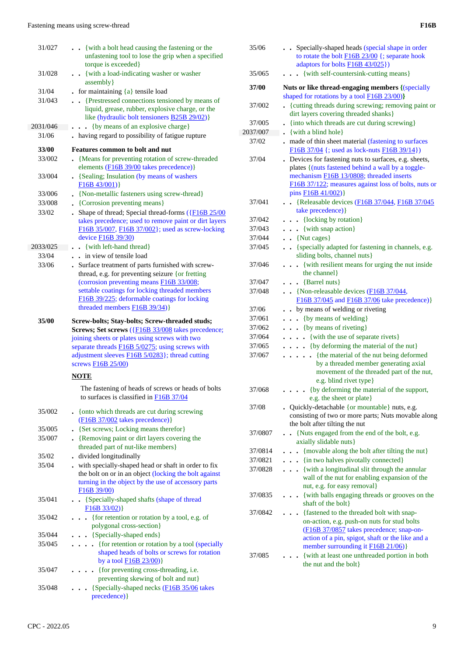| 31/027   | {with a bolt head causing the fastening or the<br>unfastening tool to lose the grip when a specified<br>torque is exceeded}                                                                                                                                                        |
|----------|------------------------------------------------------------------------------------------------------------------------------------------------------------------------------------------------------------------------------------------------------------------------------------|
| 31/028   | . {with a load-indicating washer or washer<br>assembly }                                                                                                                                                                                                                           |
| 31/04    | for maintaining ${a}$ tensile load                                                                                                                                                                                                                                                 |
| 31/043   | {Prestressed connections tensioned by means of                                                                                                                                                                                                                                     |
|          | liquid, grease, rubber, explosive charge, or the                                                                                                                                                                                                                                   |
|          | like (hydraulic bolt tensioners <b>B25B 29/02</b> )}                                                                                                                                                                                                                               |
| 2031/046 | {by means of an explosive charge}                                                                                                                                                                                                                                                  |
| 31/06    | having regard to possibility of fatigue rupture                                                                                                                                                                                                                                    |
|          |                                                                                                                                                                                                                                                                                    |
| 33/00    | <b>Features common to bolt and nut</b>                                                                                                                                                                                                                                             |
| 33/002   | {Means for preventing rotation of screw-threaded                                                                                                                                                                                                                                   |
|          | elements (F16B 39/00 takes precedence)}                                                                                                                                                                                                                                            |
| 33/004   | • {Sealing; Insulation (by means of washers<br>F16B43/001)                                                                                                                                                                                                                         |
| 33/006   | . {Non-metallic fasteners using screw-thread}                                                                                                                                                                                                                                      |
| 33/008   | • {Corrosion preventing means}                                                                                                                                                                                                                                                     |
| 33/02    | Shape of thread; Special thread-forms ({F16B 25/00<br>$\bullet$<br>takes precedence; used to remove paint or dirt layers<br>F16B 35/007, F16B 37/002}; used as screw-locking<br>device <b>F16B</b> 39/30)                                                                          |
| 2033/025 | • {with left-hand thread}                                                                                                                                                                                                                                                          |
| 33/04    | . . in view of tensile load                                                                                                                                                                                                                                                        |
| 33/06    | . Surface treatment of parts furnished with screw-                                                                                                                                                                                                                                 |
|          | thread, e.g. for preventing seizure {or fretting                                                                                                                                                                                                                                   |
|          | (corrosion preventing means F16B 33/008;                                                                                                                                                                                                                                           |
|          | settable coatings for locking threaded members                                                                                                                                                                                                                                     |
|          | F16B 39/225; deformable coatings for locking                                                                                                                                                                                                                                       |
|          | threaded members $F16B$ 39/34)}                                                                                                                                                                                                                                                    |
|          |                                                                                                                                                                                                                                                                                    |
| 35/00    | Screw-bolts; Stay-bolts; Screw-threaded studs;<br>Screws; Set screws ({F16B 33/008 takes precedence;<br>joining sheets or plates using screws with two<br>separate threads F16B 5/0275; using screws with<br>adjustment sleeves F16B 5/0283}; thread cutting<br>screws F16B 25/00) |
|          | <b>NOTE</b>                                                                                                                                                                                                                                                                        |
|          | The fastening of heads of screws or heads of bolts<br>to surfaces is classified in F16B 37/04                                                                                                                                                                                      |
| 35/002   | . {onto which threads are cut during screwing<br>$(F16B 37/002$ takes precedence)}                                                                                                                                                                                                 |
| 35/005   | • {Set screws; Locking means therefor}                                                                                                                                                                                                                                             |
| 35/007   | . {Removing paint or dirt layers covering the                                                                                                                                                                                                                                      |
|          | threaded part of nut-like members}                                                                                                                                                                                                                                                 |
| 35/02    | . divided longitudinally                                                                                                                                                                                                                                                           |
| 35/04    | . with specially-shaped head or shaft in order to fix                                                                                                                                                                                                                              |
|          | the bolt on or in an object (locking the bolt against<br>turning in the object by the use of accessory parts<br>F16B 39/00)                                                                                                                                                        |
| 35/041   | {Specially-shaped shafts (shape of thread<br>$\sim$                                                                                                                                                                                                                                |
|          | F16B 33/02)                                                                                                                                                                                                                                                                        |
| 35/042   | • {for retention or rotation by a tool, e.g. of                                                                                                                                                                                                                                    |
|          | polygonal cross-section}                                                                                                                                                                                                                                                           |
| 35/044   | • {Specially-shaped ends}                                                                                                                                                                                                                                                          |
| 35/045   | {for retention or rotation by a tool (specially<br>$\ddot{\phantom{0}}$                                                                                                                                                                                                            |
|          | shaped heads of bolts or screws for rotation                                                                                                                                                                                                                                       |
|          | by a tool $F16B 23/00$ }                                                                                                                                                                                                                                                           |
| 35/047   | {for preventing cross-threading, i.e.                                                                                                                                                                                                                                              |
|          | preventing skewing of bolt and nut}                                                                                                                                                                                                                                                |
| 35/048   | {Specially-shaped necks (F16B 35/06 takes                                                                                                                                                                                                                                          |

| 35/06            | . . Specially-shaped heads (special shape in order<br>to rotate the bolt <b>F16B 23/00</b> {; separate hook<br>adaptors for bolts F16B 43/025})                                                                                        |
|------------------|----------------------------------------------------------------------------------------------------------------------------------------------------------------------------------------------------------------------------------------|
| 35/065           | {with self-countersink-cutting means}                                                                                                                                                                                                  |
| 37/00            | Nuts or like thread-engaging members {(specially<br>shaped for rotations by a tool <b>F16B 23/00</b> )}                                                                                                                                |
| 37/002           | {cutting threads during screwing; removing paint or<br>dirt layers covering threaded shanks}                                                                                                                                           |
| 37/005           | {into which threads are cut during screwing}                                                                                                                                                                                           |
| 2037/007         | {with a blind hole}<br>$\ddot{\phantom{0}}$                                                                                                                                                                                            |
| 37/02            | . made of thin sheet material (fastening to surfaces<br>F16B 37/04 {; used as lock-nuts F16B 39/14})                                                                                                                                   |
| 37/04            | . Devices for fastening nuts to surfaces, e.g. sheets,<br>plates {(nuts fastened behind a wall by a toggle-<br>mechanism F16B 13/0808; threaded inserts<br>F16B 37/122; measures against loss of bolts, nuts or<br>pins F16B 41/002)}  |
| 37/041           | . . {Releasable devices (F16B 37/044, F16B 37/045)<br>take precedence) }                                                                                                                                                               |
| 37/042           | $\cdots$ {locking by rotation}                                                                                                                                                                                                         |
| 37/043           | . . {with snap action}                                                                                                                                                                                                                 |
| 37/044           | $\bullet$ {Nut cages}                                                                                                                                                                                                                  |
| 37/045           | • {specially adapted for fastening in channels, e.g.<br>sliding bolts, channel nuts}                                                                                                                                                   |
| 37/046           | . { with resilient means for urging the nut inside<br>the channel }                                                                                                                                                                    |
| 37/047           | $\bullet$ $\bullet$ {Barrel nuts}                                                                                                                                                                                                      |
| 37/048           | . . {Non-releasable devices (F16B 37/044,<br>F16B 37/045 and F16B 37/06 take precedence) }                                                                                                                                             |
| 37/06            | . . by means of welding or riveting                                                                                                                                                                                                    |
| 37/061           | {by means of welding}<br>$\ddot{\phantom{0}}$                                                                                                                                                                                          |
| 37/062           | $\bullet$ $\bullet$ {by means of riveting}                                                                                                                                                                                             |
| 37/064<br>37/065 | {with the use of separate rivets}<br>{by deforming the material of the nut}                                                                                                                                                            |
| 37/067           | . {the material of the nut being deformed<br>by a threaded member generating axial<br>movement of the threaded part of the nut,<br>e.g. blind rivet type}                                                                              |
| 37/068           | {by deforming the material of the support,<br>e.g. the sheet or plate}                                                                                                                                                                 |
| 37/08            | • Quickly-detachable {or mountable} nuts, e.g.                                                                                                                                                                                         |
|                  | consisting of two or more parts; Nuts movable along<br>the bolt after tilting the nut                                                                                                                                                  |
| 37/0807          | • {Nuts engaged from the end of the bolt, e.g.                                                                                                                                                                                         |
|                  | axially slidable nuts}                                                                                                                                                                                                                 |
| 37/0814          | {movable along the bolt after tilting the nut}                                                                                                                                                                                         |
| 37/0821          | {in two halves pivotally connected}                                                                                                                                                                                                    |
| 37/0828          | {with a longitudinal slit through the annular<br>$\ddot{\phantom{0}}$<br>wall of the nut for enabling expansion of the<br>nut, e.g. for easy removal}                                                                                  |
| 37/0835          | {with balls engaging threads or grooves on the<br>shaft of the bolt}                                                                                                                                                                   |
| 37/0842          | {fastened to the threaded bolt with snap-<br>on-action, e.g. push-on nuts for stud bolts<br>(F16B 37/0857 takes precedence; snap-on-<br>action of a pin, spigot, shaft or the like and a<br>member surrounding it <b>F16B 21/06</b> )} |
| 37/085           | {with at least one unthreaded portion in both<br>the nut and the bolt}                                                                                                                                                                 |
|                  |                                                                                                                                                                                                                                        |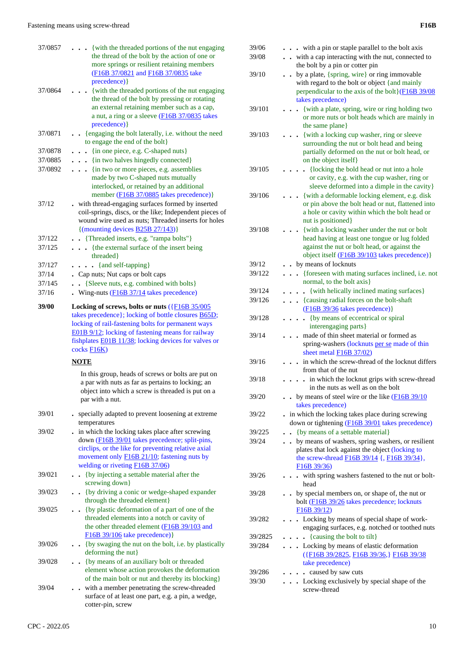| 37/0857 | {with the threaded portions of the nut engaging                                                                                                                                                                                                                                                      |
|---------|------------------------------------------------------------------------------------------------------------------------------------------------------------------------------------------------------------------------------------------------------------------------------------------------------|
|         | the thread of the bolt by the action of one or<br>more springs or resilient retaining members<br>(F16B 37/0821 and F16B 37/0835 take<br>precedence) }                                                                                                                                                |
| 37/0864 | . {with the threaded portions of the nut engaging<br>the thread of the bolt by pressing or rotating<br>an external retaining member such as a cap,<br>a nut, a ring or a sleeve (F16B 37/0835 takes<br>precedence) }                                                                                 |
| 37/0871 | . . {engaging the bolt laterally, i.e. without the need<br>to engage the end of the bolt}                                                                                                                                                                                                            |
| 37/0878 | $\bullet$ $\bullet$ {in one piece, e.g. C-shaped nuts}                                                                                                                                                                                                                                               |
| 37/0885 | . {in two halves hingedly connected}                                                                                                                                                                                                                                                                 |
| 37/0892 | . {in two or more pieces, e.g. assemblies                                                                                                                                                                                                                                                            |
|         | made by two C-shaped nuts mutually<br>interlocked, or retained by an additional<br>member (F16B 37/0885 takes precedence) }                                                                                                                                                                          |
| 37/12   | . with thread-engaging surfaces formed by inserted<br>coil-springs, discs, or the like; Independent pieces of<br>wound wire used as nuts; Threaded inserts for holes<br>$\{(\text{mounting devices } \underline{\text{B25B } 27/143})\}$                                                             |
| 37/122  | . Threaded inserts, e.g. "rampa bolts"}                                                                                                                                                                                                                                                              |
| 37/125  | . {the external surface of the insert being<br>threaded}                                                                                                                                                                                                                                             |
| 37/127  | $\cdots$ $\cdots$ {and self-tapping}                                                                                                                                                                                                                                                                 |
| 37/14   | . Cap nuts; Nut caps or bolt caps                                                                                                                                                                                                                                                                    |
| 37/145  | {Sleeve nuts, e.g. combined with bolts}<br>$\ddot{\phantom{0}}$                                                                                                                                                                                                                                      |
| 37/16   | . Wing-nuts (F16B 37/14 takes precedence)                                                                                                                                                                                                                                                            |
| 39/00   | Locking of screws, bolts or nuts $(\overline{\text{F16B }35/005})$<br>takes precedence}; locking of bottle closures <b>B65D</b> ;<br>locking of rail-fastening bolts for permanent ways<br>E01B 9/12; locking of fastening means for railway<br>fishplates E01B 11/38; locking devices for valves or |
|         | cocks F16K)                                                                                                                                                                                                                                                                                          |
|         | NOTE                                                                                                                                                                                                                                                                                                 |
|         | In this group, heads of screws or bolts are put on<br>a par with nuts as far as pertains to locking; an<br>object into which a screw is threaded is put on a<br>par with a nut.                                                                                                                      |
| 39/01   | - specially adapted to prevent loosening at extreme                                                                                                                                                                                                                                                  |
| 39/02   | temperatures<br>. in which the locking takes place after screwing<br>down (F16B 39/01 takes precedence; split-pins,<br>circlips, or the like for preventing relative axial<br>movement only F16B 21/10; fastening nuts by                                                                            |
| 39/021  | welding or riveting F16B 37/06)<br>{by injecting a settable material after the<br>screwing down}                                                                                                                                                                                                     |
| 39/023  | {by driving a conic or wedge-shaped expander                                                                                                                                                                                                                                                         |
| 39/025  | through the threaded element}<br>{by plastic deformation of a part of one of the<br>threaded elements into a notch or cavity of<br>the other threaded element (F16B 39/103 and<br>F16B 39/106 take precedence) }                                                                                     |
| 39/026  | {by swaging the nut on the bolt, i.e. by plastically<br>deforming the nut}                                                                                                                                                                                                                           |
| 39/028  | {by means of an auxiliary bolt or threaded                                                                                                                                                                                                                                                           |
|         | element whose action provokes the deformation<br>of the main bolt or nut and thereby its blocking}                                                                                                                                                                                                   |

| 39/06<br>39/08 | - with a pin or staple parallel to the bolt axis<br>with a cap interacting with the nut, connected to                                                                                                                |
|----------------|----------------------------------------------------------------------------------------------------------------------------------------------------------------------------------------------------------------------|
| 39/10          | the bolt by a pin or cotter pin<br>by a plate, {spring, wire} or ring immovable<br>$\bullet$<br>with regard to the bolt or object {and mainly<br>perpendicular to the axis of the bolt} (F16B 39/08)                 |
| 39/101         | takes precedence)<br>{with a plate, spring, wire or ring holding two<br>or more nuts or bolt heads which are mainly in<br>the same plane}                                                                            |
| 39/103         | {with a locking cup washer, ring or sleeve<br>surrounding the nut or bolt head and being<br>partially deformed on the nut or bolt head, or                                                                           |
| 39/105         | on the object itself}<br>{locking the bold head or nut into a hole<br>or cavity, e.g. with the cup washer, ring or                                                                                                   |
| 39/106         | sleeve deformed into a dimple in the cavity}<br>{with a deformable locking element, e.g. disk<br>or pin above the bolt head or nut, flattened into<br>a hole or cavity within which the bolt head or                 |
| 39/108         | nut is positioned}<br>{with a locking washer under the nut or bolt<br>head having at least one tongue or lug folded<br>against the nut or bolt head, or against the<br>object itself (F16B 39/103 takes precedence)} |
| 39/12          | • by means of locknuts                                                                                                                                                                                               |
| 39/122         | {foreseen with mating surfaces inclined, i.e. not<br>$\ddot{\phantom{a}}$                                                                                                                                            |
|                | normal, to the bolt axis}                                                                                                                                                                                            |
| 39/124         | {with helically inclined mating surfaces}                                                                                                                                                                            |
| 39/126         | {causing radial forces on the bolt-shaft<br>$\ddot{\phantom{0}}$                                                                                                                                                     |
|                | (F16B 39/36 takes precedence) }                                                                                                                                                                                      |
| 39/128         | {by means of eccentrical or spiral<br>interengaging parts}                                                                                                                                                           |
| 39/14          | made of thin sheet material or formed as<br>spring-washers (locknuts per se made of thin<br>sheet metal <b>F16B</b> 37/02)                                                                                           |
| 39/16          | in which the screw-thread of the locknut differs                                                                                                                                                                     |
| 39/18          | from that of the nut<br>in which the locknut grips with screw-thread                                                                                                                                                 |
|                | in the nuts as well as on the bolt                                                                                                                                                                                   |
| 39/20          | by means of steel wire or the like $(F16B 39/10)$<br>takes precedence)                                                                                                                                               |
| 39/22          | in which the locking takes place during screwing                                                                                                                                                                     |
|                | down or tightening (F16B 39/01 takes precedence)                                                                                                                                                                     |
| 39/225         | {by means of a settable material}<br>$\ddot{\phantom{a}}$                                                                                                                                                            |
| 39/24          | . . by means of washers, spring washers, or resilient<br>plates that lock against the object (locking to<br>the screw-thread F16B 39/14 {, F16B 39/34},<br>F16B39/36                                                 |
| 39/26          | - with spring washers fastened to the nut or bolt-<br>head                                                                                                                                                           |
| 39/28          | • by special members on, or shape of, the nut or<br>bolt (F16B 39/26 takes precedence; locknuts<br>F16B 39/12                                                                                                        |
| 39/282         | Locking by means of special shape of work-<br>$\ddot{\phantom{a}}$<br>engaging surfaces, e.g. notched or toothed nuts                                                                                                |
| 39/2825        | {causing the bolt to tilt}                                                                                                                                                                                           |
| 39/284         | . Locking by means of elastic deformation<br>({F16B 39/2825, F16B 39/36,} F16B 39/38<br>take precedence)                                                                                                             |
| 39/286         | . . caused by saw cuts                                                                                                                                                                                               |
| 39/30          | . Locking exclusively by special shape of the<br>screw-thread                                                                                                                                                        |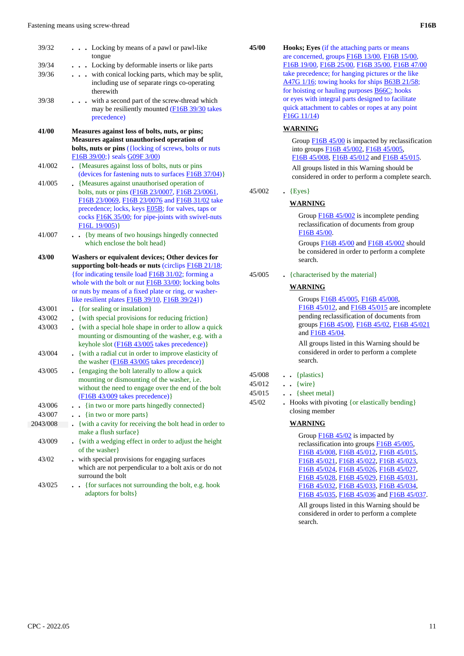| 39/32    | Locking by means of a pawl or pawl-like<br>tongue                                                                 |
|----------|-------------------------------------------------------------------------------------------------------------------|
| 39/34    | Locking by deformable inserts or like parts<br>$\ddot{\phantom{0}}$                                               |
| 39/36    | with conical locking parts, which may be split,<br>$\ddot{\phantom{a}}$                                           |
|          | including use of separate rings co-operating                                                                      |
|          | therewith                                                                                                         |
| 39/38    | with a second part of the screw-thread which                                                                      |
|          | may be resiliently mounted (F16B 39/30 takes                                                                      |
|          | precedence)                                                                                                       |
| 41/00    | Measures against loss of bolts, nuts, or pins;                                                                    |
|          | Measures against unauthorised operation of                                                                        |
|          | bolts, nuts or pins ({locking of screws, bolts or nuts                                                            |
|          | F16B 39/00;} seals G09F 3/00)                                                                                     |
| 41/002   | {Measures against loss of bolts, nuts or pins                                                                     |
|          | (devices for fastening nuts to surfaces F16B 37/04)}                                                              |
| 41/005   | • {Measures against unauthorised operation of                                                                     |
|          | bolts, nuts or pins (F16B 23/0007, F16B 23/0061,<br>F16B 23/0069, F16B 23/0076 and F16B 31/02 take                |
|          | precedence; locks, keys <b>E05B</b> ; for valves, taps or                                                         |
|          | cocks <b>F16K 35/00</b> ; for pipe-joints with swivel-nuts                                                        |
|          | F16L 19/005)                                                                                                      |
| 41/007   | {by means of two housings hingedly connected<br>$\ddot{\phantom{0}}$                                              |
|          | which enclose the bolt head}                                                                                      |
| 43/00    | Washers or equivalent devices; Other devices for                                                                  |
|          |                                                                                                                   |
|          |                                                                                                                   |
|          | supporting bolt-heads or nuts (circlips F16B 21/18;                                                               |
|          | {for indicating tensile load F16B 31/02; forming a<br>whole with the bolt or nut <b>F16B</b> 33/00; locking bolts |
|          | or nuts by means of a fixed plate or ring, or washer-                                                             |
|          | like resilient plates <b>F16B</b> 39/10, F16B 39/24})                                                             |
| 43/001   | {for sealing or insulation}                                                                                       |
| 43/002   | {with special provisions for reducing friction}                                                                   |
| 43/003   | {with a special hole shape in order to allow a quick<br>$\ddot{\phantom{0}}$                                      |
|          | mounting or dismounting of the washer, e.g. with a                                                                |
|          | keyhole slot (F16B 43/005 takes precedence)}                                                                      |
| 43/004   | {with a radial cut in order to improve elasticity of                                                              |
|          | the washer $(F16B 43/005)$ takes precedence)}                                                                     |
| 43/005   | {engaging the bolt laterally to allow a quick                                                                     |
|          | mounting or dismounting of the washer, i.e.                                                                       |
|          | without the need to engage over the end of the bolt                                                               |
| 43/006   | $(F16B 43/009$ takes precedence)}                                                                                 |
| 43/007   | {in two or more parts hingedly connected}                                                                         |
| 2043/008 | {in two or more parts}                                                                                            |
|          | {with a cavity for receiving the bolt head in order to<br>make a flush surface}                                   |
| 43/009   | {with a wedging effect in order to adjust the height                                                              |
|          | of the washer                                                                                                     |
| 43/02    | with special provisions for engaging surfaces                                                                     |
|          | which are not perpendicular to a bolt axis or do not                                                              |
| 43/025   | surround the bolt<br>{for surfaces not surrounding the bolt, e.g. hook                                            |

| 45/00 | <b>Hooks</b> ; Eyes (if the attaching parts or means) |
|-------|-------------------------------------------------------|
|       | are concerned, groups F16B 13/00, F16B 15/00,         |
|       | F16B 19/00, F16B 25/00, F16B 35/00, F16B 47/00        |
|       | take precedence; for hanging pictures or the like     |
|       | A47G 1/16; towing hooks for ships B63B 21/58;         |
|       | for hoisting or hauling purposes B66C; hooks          |
|       | or eyes with integral parts designed to facilitate    |
|       | quick attachment to cables or ropes at any point      |
|       | F16G11/14                                             |
|       |                                                       |

#### **WARNING**

Group F16B 45/00 is impacted by reclassification into groups F16B 45/002, F16B 45/005, F16B 45/008, F16B 45/012 and F16B 45/015. All groups listed in this Warning should be considered in order to perform a complete search.

## 45/002 **.** {Eyes}

#### **WARNING**

Group F16B 45/002 is incomplete pending reclassification of documents from group F16B 45/00.

Groups F16B 45/00 and F16B 45/002 should be considered in order to perform a complete search.

45/005 **.** {characterised by the material}

## **WARNING**

Groups F16B 45/005, F16B 45/008, F<sub>16B</sub> 45/012, and F<sub>16B</sub> 45/015 are incomplete pending reclassification of documents from groups F16B 45/00, F16B 45/02, F16B 45/021 and F16B 45/04.

All groups listed in this Warning should be considered in order to perform a complete search.

| 45/008 | ${\mathbf{plastics}}$ |
|--------|-----------------------|
|        |                       |

- 45/012 **. .** {wire}
- 45/015 **. .** {sheet metal}
- 45/02 **.** Hooks with pivoting {or elastically bending} closing member

## **WARNING**

Group **F16B 45/02** is impacted by reclassification into groups F16B 45/005, F16B 45/008, F16B 45/012, F16B 45/015, F16B 45/021, F16B 45/022, F16B 45/023, F16B 45/024, F16B 45/026, F16B 45/027, F16B 45/028, F16B 45/029, F16B 45/031, F16B 45/032, F16B 45/033, F16B 45/034, F16B 45/035, F16B 45/036 and F16B 45/037.

All groups listed in this Warning should be considered in order to perform a complete search.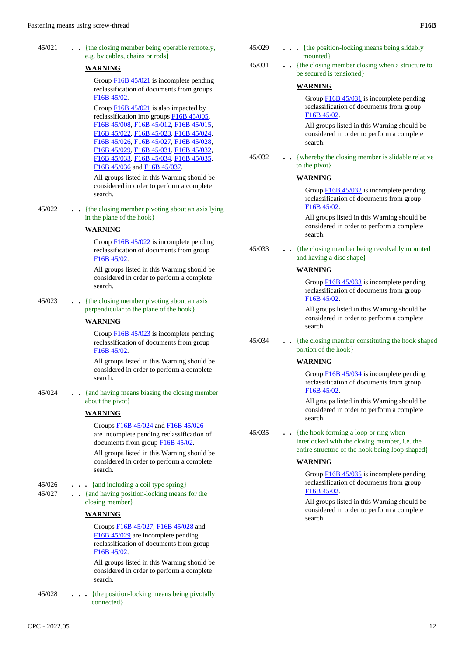| 45/021 | {the closing member being operable remotely, |
|--------|----------------------------------------------|
|        | e.g. by cables, chains or rods               |

#### **WARNING**

Group F16B 45/021 is incomplete pending reclassification of documents from groups F16B 45/02.

Group F16B 45/021 is also impacted by reclassification into groups F16B 45/005, F16B 45/008, F16B 45/012, F16B 45/015, F16B 45/022, F16B 45/023, F16B 45/024, F16B 45/026, F16B 45/027, F16B 45/028, F16B 45/029, F16B 45/031, F16B 45/032, F16B 45/033, F16B 45/034, F16B 45/035, F16B 45/036 and F16B 45/037.

All groups listed in this Warning should be considered in order to perform a complete search.

 45/022 **. .** {the closing member pivoting about an axis lying in the plane of the hook}

#### **WARNING**

Group F16B 45/022 is incomplete pending reclassification of documents from group F16B 45/02.

All groups listed in this Warning should be considered in order to perform a complete search.

 45/023 **. .** {the closing member pivoting about an axis perpendicular to the plane of the hook}

#### **WARNING**

Group F16B 45/023 is incomplete pending reclassification of documents from group F16B 45/02.

All groups listed in this Warning should be considered in order to perform a complete search.

 45/024 **. .** {and having means biasing the closing member about the pivot}

#### **WARNING**

Groups F16B 45/024 and F16B 45/026 are incomplete pending reclassification of documents from group **F16B 45/02**.

All groups listed in this Warning should be considered in order to perform a complete search.

- 45/026 **. . .** {and including a coil type spring}
- 45/027 **. .** {and having position-locking means for the closing member}

## **WARNING**

Groups F16B 45/027, F16B 45/028 and F16B 45/029 are incomplete pending reclassification of documents from group F16B 45/02.

All groups listed in this Warning should be considered in order to perform a complete search.

 45/028 **. . .** {the position-locking means being pivotally connected}

| 45/031 | {the closing member closing when a structure to<br>be secured is tensioned}                                                              |
|--------|------------------------------------------------------------------------------------------------------------------------------------------|
|        | <b>WARNING</b>                                                                                                                           |
|        | Group $\underline{F16B45/031}$ is incomplete pending<br>reclassification of documents from group<br>F <sub>16</sub> B <sub>45</sub> /02. |
|        | All groups listed in this Warning should be<br>considered in order to perform a complete<br>search.                                      |
| 45/032 | {whereby the closing member is slidable relative<br>to the pivot}                                                                        |
|        | <b>WARNING</b>                                                                                                                           |
|        | Group F16B 45/032 is incomplete pending<br>reclassification of documents from group<br>F16B 45/02.                                       |
|        | All groups listed in this Warning should be<br>considered in order to perform a complete<br>search.                                      |
| 45/033 | {the closing member being revolvably mounted<br>and having a disc shape                                                                  |
|        | <b>WARNING</b>                                                                                                                           |
|        | Group F16B 45/033 is incomplete pending<br>reclassification of documents from group<br>F16B 45/02.                                       |
|        | All groups listed in this Warning should be<br>considered in order to perform a complete<br>search.                                      |
| 45/034 | {the closing member constituting the hook shaped<br>portion of the hook                                                                  |
|        | <b>WARNING</b>                                                                                                                           |
|        | Group F16B 45/034 is incomplete pending<br>reclassification of documents from group<br>F16B 45/02.                                       |
|        | All groups listed in this Warning should be<br>considered in order to perform a complete                                                 |

45/029 **. . .** {the position-locking means being slidably

mounted<sup>}</sup>

 45/035 **. .** {the hook forming a loop or ring when interlocked with the closing member, i.e. the

entire structure of the hook being loop shaped}

#### **WARNING**

search.

Group F16B 45/035 is incomplete pending reclassification of documents from group F16B 45/02.

All groups listed in this Warning should be considered in order to perform a complete search.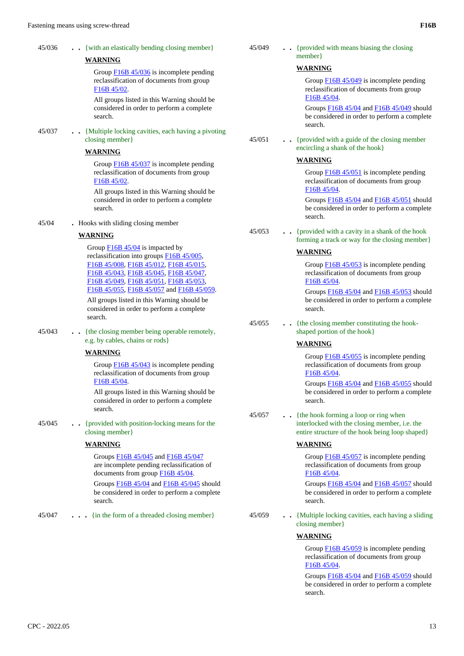| 45/036<br>45/037 | {with an elastically bending closing member}<br><b>WARNING</b><br>Group F16B 45/036 is incomplete pending<br>reclassification of documents from group<br>F16B 45/02.<br>All groups listed in this Warning should be<br>considered in order to perform a complete<br>search.<br>{Multiple locking cavities, each having a pivoting<br>closing member}<br><b>WARNING</b><br>Group F16B 45/037 is incomplete pending<br>reclassification of documents from group<br>F16B 45/02.<br>All groups listed in this Warning should be<br>considered in order to perform a complete | 45/049<br>45/051 | {provided with means biasing the closing<br>$member\}$<br><b>WARNING</b><br>Group $\underline{F16B45/049}$ is incomplete pending<br>reclassification of documents from group<br>F16B 45/04.<br>Groups F16B 45/04 and F16B 45/049 should<br>be considered in order to perform a complete<br>search.<br>{provided with a guide of the closing member<br>encircling a shank of the hook}<br><b>WARNING</b><br>Group $\underline{F16B45/051}$ is incomplete pending<br>reclassification of documents from group<br>F <sub>16</sub> B <sub>45</sub> /04.<br>Groups F16B 45/04 and F16B 45/051 should |
|------------------|--------------------------------------------------------------------------------------------------------------------------------------------------------------------------------------------------------------------------------------------------------------------------------------------------------------------------------------------------------------------------------------------------------------------------------------------------------------------------------------------------------------------------------------------------------------------------|------------------|-------------------------------------------------------------------------------------------------------------------------------------------------------------------------------------------------------------------------------------------------------------------------------------------------------------------------------------------------------------------------------------------------------------------------------------------------------------------------------------------------------------------------------------------------------------------------------------------------|
|                  | search.                                                                                                                                                                                                                                                                                                                                                                                                                                                                                                                                                                  |                  | be considered in order to perform a complete<br>search.                                                                                                                                                                                                                                                                                                                                                                                                                                                                                                                                         |
| 45/04            | . Hooks with sliding closing member<br><b>WARNING</b><br>Group $\underline{F16B45/04}$ is impacted by<br>reclassification into groups F16B 45/005,<br>F16B 45/008, F16B 45/012, F16B 45/015,<br>F16B 45/043, F16B 45/045, F16B 45/047,<br>F16B 45/049, F16B 45/051, F16B 45/053,<br>F16B 45/055, F16B 45/057 and F16B 45/059.<br>All groups listed in this Warning should be<br>considered in order to perform a complete<br>search.                                                                                                                                     | 45/053           | {provided with a cavity in a shank of the hook<br>forming a track or way for the closing member}<br><b>WARNING</b><br>Group $\underline{F16B}$ 45/053 is incomplete pending<br>reclassification of documents from group<br>F16B 45/04.<br>Groups F16B 45/04 and F16B 45/053 should<br>be considered in order to perform a complete<br>search.                                                                                                                                                                                                                                                   |
| 45/043           | {the closing member being operable remotely,<br>e.g. by cables, chains or rods}<br><b>WARNING</b><br>Group $\underline{F16B45/043}$ is incomplete pending<br>reclassification of documents from group<br>F <sub>16</sub> B <sub>45</sub> /04.<br>All groups listed in this Warning should be<br>considered in order to perform a complete<br>search.                                                                                                                                                                                                                     | 45/055<br>45/057 | {the closing member constituting the hook-<br>shaped portion of the hook}<br><b>WARNING</b><br>Group $\underline{F16B}$ 45/055 is incomplete pending<br>reclassification of documents from group<br>F16B 45/04.<br>Groups $\underline{F16B}$ 45/04 and $\underline{F16B}$ 45/055 should<br>be considered in order to perform a complete<br>search.<br>{the hook forming a loop or ring when                                                                                                                                                                                                     |
| 45/045           | {provided with position-locking means for the<br>$\ddot{\phantom{0}}$<br>closing member}<br><b>WARNING</b><br>Groups F16B 45/045 and F16B 45/047<br>are incomplete pending reclassification of<br>documents from group $\underline{F16B45/04}$ .<br>Groups F16B 45/04 and F16B 45/045 should<br>be considered in order to perform a complete<br>search.                                                                                                                                                                                                                  |                  | interlocked with the closing member, i.e. the<br>entire structure of the hook being loop shaped}<br><b>WARNING</b><br>Group $\underline{F16B}$ 45/057 is incomplete pending<br>reclassification of documents from group<br>F16B 45/04.<br>Groups F16B 45/04 and F16B 45/057 should<br>be considered in order to perform a complete<br>search.                                                                                                                                                                                                                                                   |
| 45/047           | {in the form of a threaded closing member}                                                                                                                                                                                                                                                                                                                                                                                                                                                                                                                               | 45/059           | . . {Multiple locking cavities, each having a sliding<br>closing member}<br><b>WARNING</b><br>Group $\underline{F16B45/059}$ is incomplete pending<br>reclassification of documents from group<br>F16B 45/04.<br>Groups F16B 45/04 and F16B 45/059 should<br>be considered in order to perform a complete                                                                                                                                                                                                                                                                                       |

search.

# **WARNING**

#### **WARNING**

### 45/043 **. .** {the closing member e.g. by cables, chains

#### **WARNING**

### **WARNING**